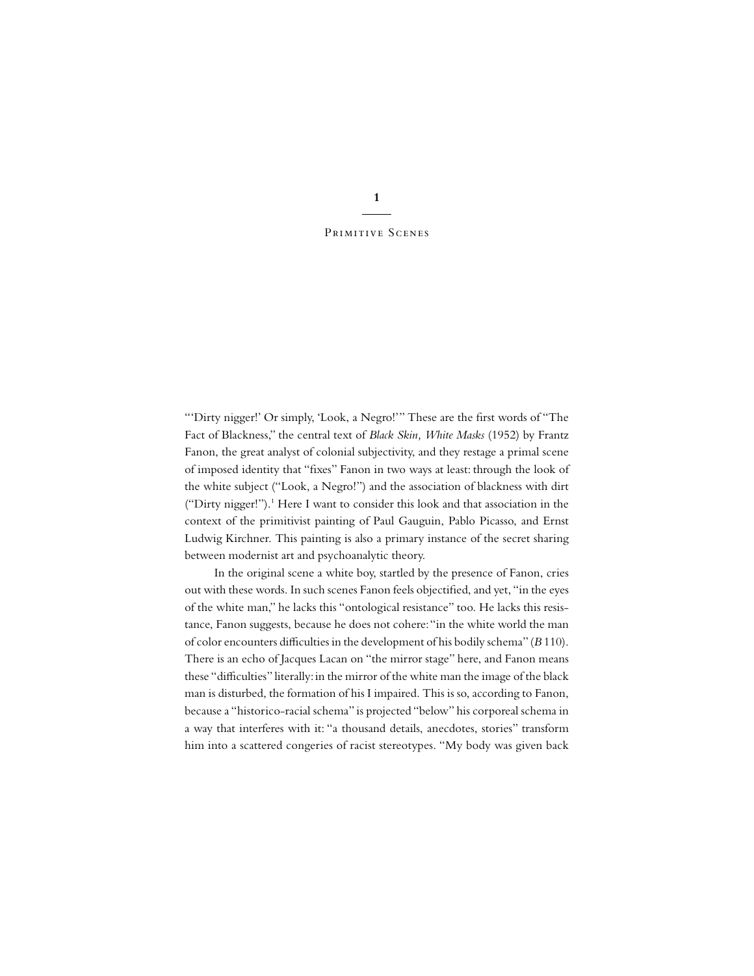"'Dirty nigger!' Or simply, 'Look, a Negro!'" These are the first words of "The Fact of Blackness," the central text of *Black Skin, White Masks* (1952) by Frantz Fanon, the great analyst of colonial subjectivity, and they restage a primal scene of imposed identity that "fixes" Fanon in two ways at least: through the look of the white subject ("Look, a Negro!") and the association of blackness with dirt ("Dirty nigger!").1 Here I want to consider this look and that association in the context of the primitivist painting of Paul Gauguin, Pablo Picasso, and Ernst Ludwig Kirchner. This painting is also a primary instance of the secret sharing between modernist art and psychoanalytic theory.

In the original scene a white boy, startled by the presence of Fanon, cries out with these words. In such scenes Fanon feels objectified, and yet, "in the eyes [of the white man," he lacks this "ontological resistance" too. He lacks this resis](#page--1-0)tance, Fanon suggests, because he does not cohere:"in the white world the man of color encounters difficulties in the development of his bodily schema"(*B* 110). There is an echo of Jacques Lacan on "the mirror stage" here, and Fanon means these "difficulties" literally:in the mirror of the white man the image of the black man is disturbed, the formation of his I impaired. This is so, according to Fanon, because a "historico-racial schema" is projected "below" his corporeal schema in a way that interferes with it: "a thousand details, anecdotes, stories" transform him into a scattered congeries of racist stereotypes. "My body was given back

**1**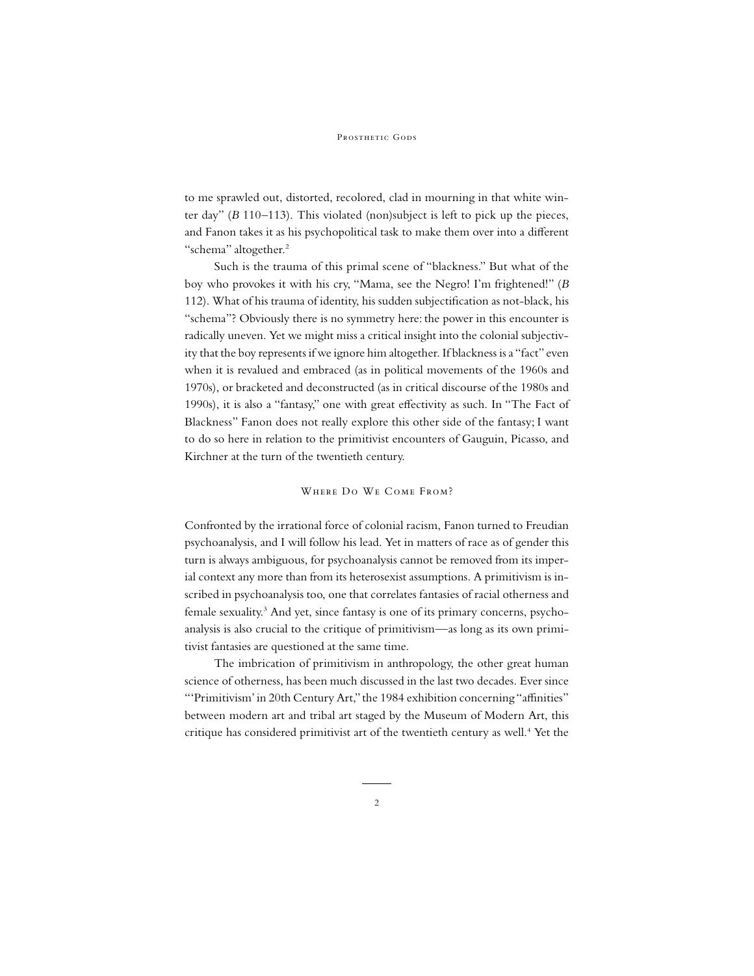to me sprawled out, distorted, recolored, clad in mourning in that white winter day" (*B* 110–113). This violated (non)subject is left to pick up the pieces, and Fanon takes it as his psychopolitical task to make them over into a different "schema" altogether.<sup>2</sup>

Such is the trauma of this primal scene of "blackness." But what of the boy who provokes it with his cry, "Mama, see the Negro! I'm frightened!" (*B* 112). What of his trauma of identity, his sudden subjectification as not-black, his "schema"? Obviously there is no symmetry here: the power in this encounter is radically uneven. Yet we might miss a critical insight into the colonial subjectivity that the boy represents if we ignore him altogether. If blackness is a "fact" even when it is revalued and embraced (as in political movements of the 1960s and 1970s), or bracketed and deconstructed (as in critical discourse of the 1980s and 1990s), it is also a "fantasy," one with great effectivity as such. In "The Fact of Blackness" Fanon does not really explore this other side of the fantasy; I want to do so here in relation to the primitivist encounters of Gauguin, Picasso, and Kirchner at the turn of the twentieth century.

## Where Do We Come From?

Confronted by the irrational force of colonial racism, Fanon turned to Freudian psychoanalysis, and I will follow his lead. Yet in matters of race as of gender this turn is always ambiguous, for psychoanalysis cannot be removed from its imperial context any more than from its heterosexist assumptions. A primitivism is inscribed in psychoanalysis too, one that correlates fantasies of racial otherness and female sexuality.3 And yet, since fantasy is one of its primary concerns, psychoanalysis is also crucial to the critique of primitivism—as long as its own primitivist fantasies are questioned at the same time.

The imbrication of primitivism in anthropology, the other great human science of otherness, has been much discussed in the last two decades. Ever since "'Primitivism' in 20th Century Art," the 1984 exhibition concerning "affinities" between modern art and tribal art staged by the Museum of Modern Art, this critique has considered primitivist art of the twentieth century as well.4 Yet the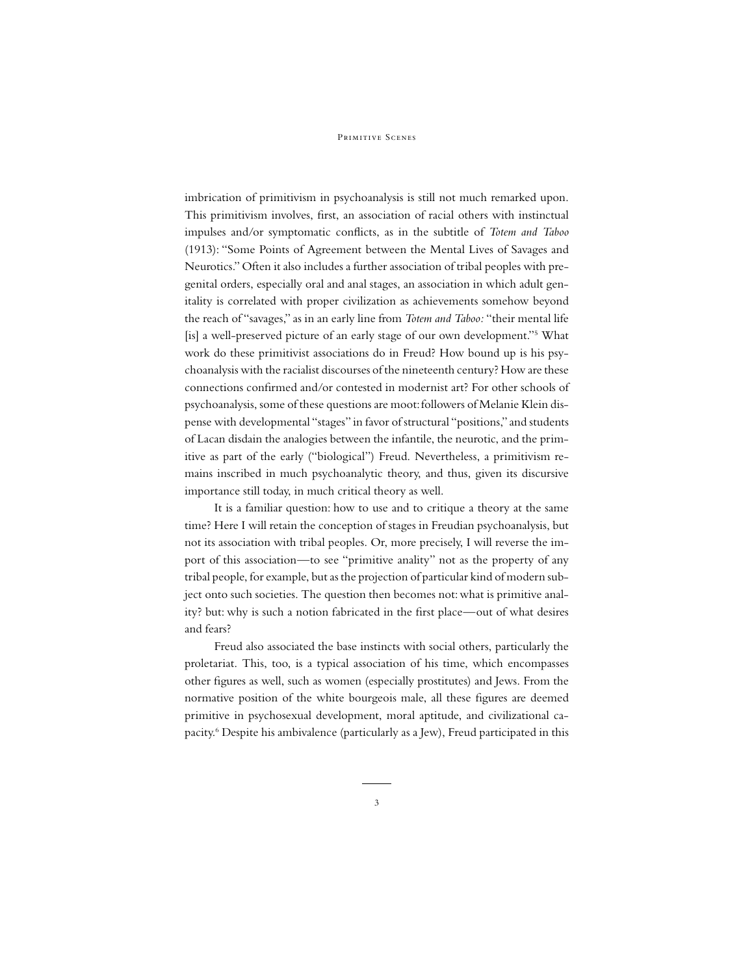imbrication of primitivism in psychoanalysis is still not much remarked upon. This primitivism involves, first, an association of racial others with instinctual impulses and/or symptomatic conflicts, as in the subtitle of *Totem and Taboo* (1913): "Some Points of Agreement between the Mental Lives of Savages and Neurotics." Often it also includes a further association of tribal peoples with pregenital orders, especially oral and anal stages, an association in which adult genitality is correlated with proper civilization as achievements somehow beyond the reach of "savages," as in an early line from *Totem and Taboo:* "their mental life [is] a well-preserved picture of an early stage of our own development."<sup>5</sup> What work do these primitivist associations do in Freud? How bound up is his psychoanalysis with the racialist discourses of the nineteenth century? How are these connections confirmed and/or contested in modernist art? For other schools of psychoanalysis, some of these questions are moot: followers of Melanie Klein dispense with developmental "stages" in favor of structural "positions," and students of Lacan disdain the analogies between the infantile, the neurotic, and the primitive as part of the early ("biological") Freud. Nevertheless, a primitivism remains inscribed in much psychoanalytic theory, and thus, given its discursive importance still today, in much critical theory as well.

It is a familiar question: how to use and to critique a theory at the same time? Here I will retain the conception of stages in Freudian psychoanalysis, but not its association with tribal peoples. Or, more precisely, I will reverse the import of this association—to see "primitive anality" not as the property of any tribal people, for example, but as the projection of particular kind of modern subject onto such societies. The question then becomes not: what is primitive anality? but: why is such a notion fabricated in the first place—out of what desires and fears?

Freud also associated the base instincts with social others, particularly the proletariat. This, too, is a typical association of his time, which encompasses other figures as well, such as women (especially prostitutes) and Jews. From the normative position of the white bourgeois male, all these figures are deemed primitive in psychosexual development, moral aptitude, and civilizational capacity.6 Despite his ambivalence (particularly as a Jew), Freud participated in this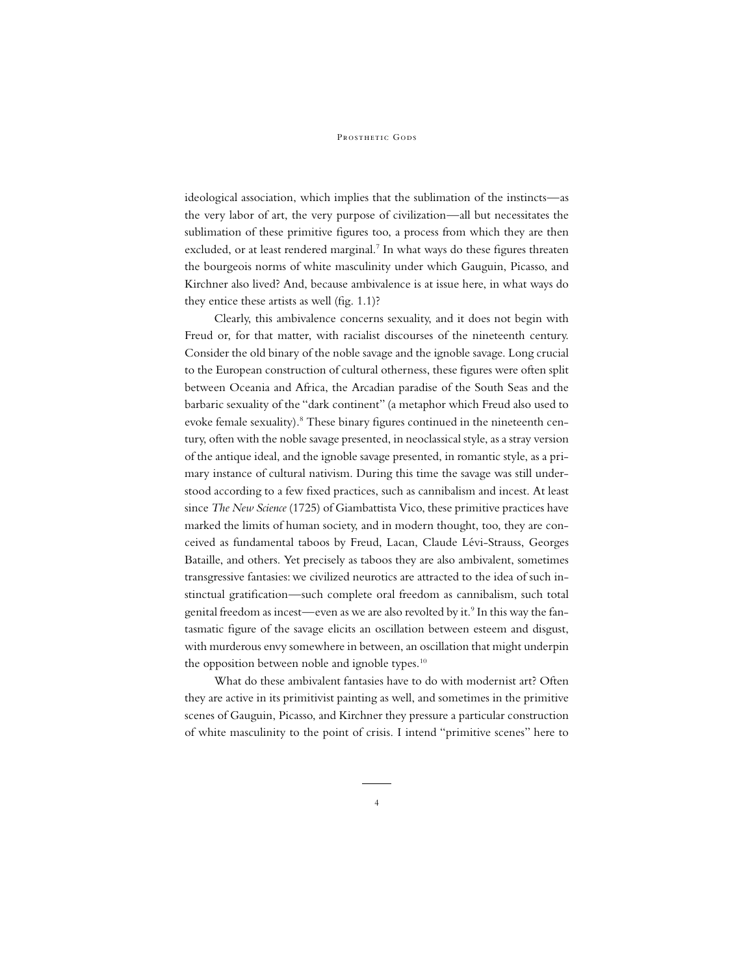ideological association, which implies that the sublimation of the instincts—as the very labor of art, the very purpose of civilization—all but necessitates the sublimation of these primitive figures too, a process from which they are then excluded, or at least rendered marginal.<sup>7</sup> In what ways do these figures threaten the bourgeois norms of white masculinity under which Gauguin, Picasso, and Kirchner also lived? And, because ambivalence is at issue here, in what ways do they entice these artists as well (fig. 1.1)?

Clearly, this ambivalence concerns sexuality, and it does not begin with Freud or, for that matter, with racialist discourses of the nineteenth century. Consider the old binary of the noble savage and the ignoble savage. Long crucial to the European construction of cultural otherness, these figures were often split between Oceania and Africa, the Arcadian paradise of the South Seas and the barbaric sexuality of the "dark continent" (a metaphor which Freud also used to evoke female sexuality).<sup>8</sup> These binary figures continued in the nineteenth century, often with the noble savage presented, in neoclassical style, as a stray version of the antique ideal, and the ignoble savage presented, in romantic style, as a primary instance of cultural nativism. During this time the savage was still understood according to a few fixed practices, such as cannibalism and incest. At least since *The New Science* (1725) of Giambattista Vico, these primitive practices have marked the limits of human society, and in modern thought, too, they are conceived as fundamental taboos by Freud, Lacan, Claude Lévi-Strauss, Georges Bataille, and others. Yet precisely as taboos they are also ambivalent, sometimes transgressive fantasies: we civilized neurotics are attracted to the idea of such instinctual gratification—such complete oral freedom as cannibalism, such total genital freedom as incest—even as we are also revolted by it.9 In this way the fantasmatic figure of the savage elicits an oscillation between esteem and disgust, with murderous envy somewhere in between, an oscillation that might underpin the opposition between noble and ignoble types.<sup>10</sup>

What do these ambivalent fantasies have to do with modernist art? Often they are active in its primitivist painting as well, and sometimes in the primitive scenes of Gauguin, Picasso, and Kirchner they pressure a particular construction of white masculinity to the point of crisis. I intend "primitive scenes" here to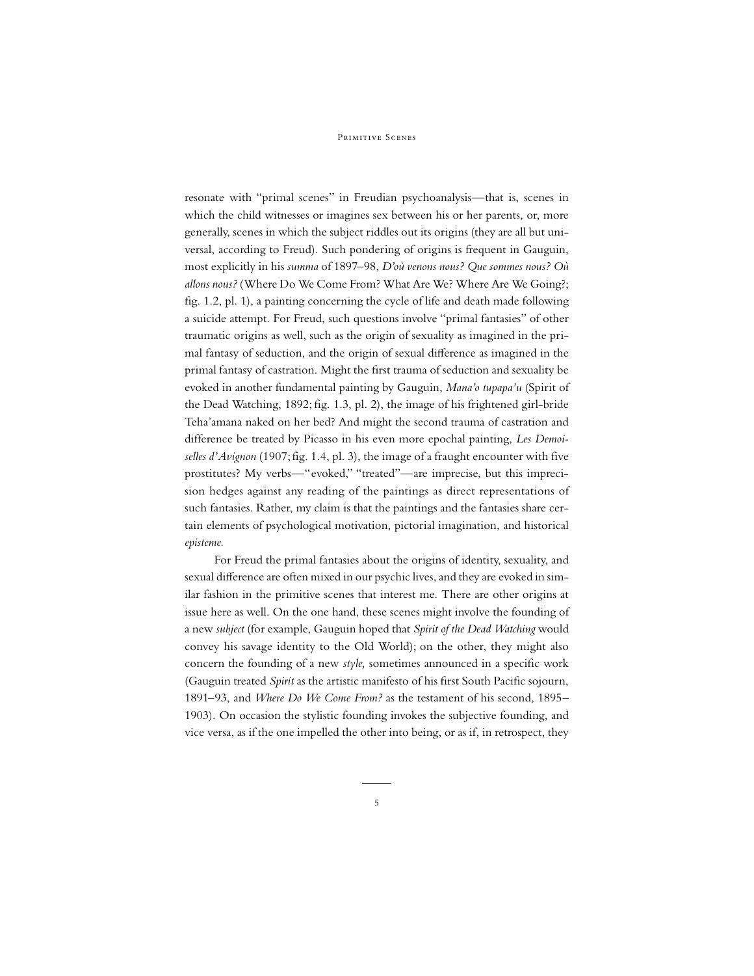resonate with "primal scenes" in Freudian psychoanalysis—that is, scenes in which the child witnesses or imagines sex between his or her parents, or, more generally, scenes in which the subject riddles out its origins (they are all but universal, according to Freud). Such pondering of origins is frequent in Gauguin, most explicitly in his *summa* of 1897–98, *D'où venons nous? Que sommes nous? Où allons nous?* (Where Do We Come From? What Are We? Where Are We Going?; fig. 1.2, pl. 1), a painting concerning the cycle of life and death made following a suicide attempt. For Freud, such questions involve "primal fantasies" of other traumatic origins as well, such as the origin of sexuality as imagined in the primal fantasy of seduction, and the origin of sexual difference as imagined in the primal fantasy of castration. Might the first trauma of seduction and sexuality be evoked in another fundamental painting by Gauguin, *Mana'o tupapa'u* (Spirit of the Dead Watching, 1892; fig. 1.3, pl. 2), the image of his frightened girl-bride Teha'amana naked on her bed? And might the second trauma of castration and difference be treated by Picasso in his even more epochal painting, *Les Demoiselles d'Avignon* (1907;fig. 1.4, pl. 3), the image of a fraught encounter with five prostitutes? My verbs—"evoked," "treated"—are imprecise, but this imprecision hedges against any reading of the paintings as direct representations of such fantasies. Rather, my claim is that the paintings and the fantasies share certain elements of psychological motivation, pictorial imagination, and historical *episteme.*

For Freud the primal fantasies about the origins of identity, sexuality, and sexual difference are often mixed in our psychic lives, and they are evoked in similar fashion in the primitive scenes that interest me. There are other origins at issue here as well. On the one hand, these scenes might involve the founding of a new *subject* (for example, Gauguin hoped that *Spirit of the Dead Watching* would convey his savage identity to the Old World); on the other, they might also concern the founding of a new *style,* sometimes announced in a specific work (Gauguin treated *Spirit* as the artistic manifesto of his first South Pacific sojourn, 1891–93, and *Where Do We Come From?* as the testament of his second, 1895– 1903). On occasion the stylistic founding invokes the subjective founding, and vice versa, as if the one impelled the other into being, or as if, in retrospect, they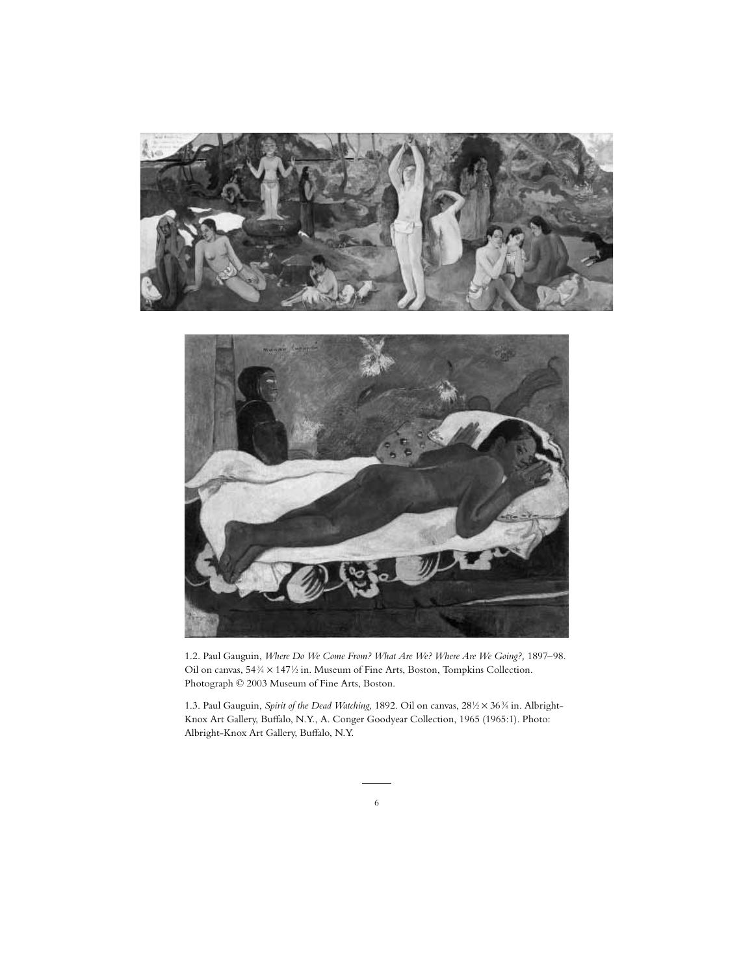



1.2. Paul Gauguin, *Where Do We Come From? What Are We? Where Are We Going?,* 1897–98. Oil on canvas,  $54\frac{3}{4} \times 147\frac{1}{2}$  in. Museum of Fine Arts, Boston, Tompkins Collection. Photograph © 2003 Museum of Fine Arts, Boston.

1.3. Paul Gauguin, Spirit of the Dead Watching, 1892. Oil on canvas,  $28\frac{1}{2} \times 36\frac{1}{2}$  in. Albright-Knox Art Gallery, Buffalo, N.Y., A. Conger Goodyear Collection, 1965 (1965:1). Photo: Albright-Knox Art Gallery, Buffalo, N.Y.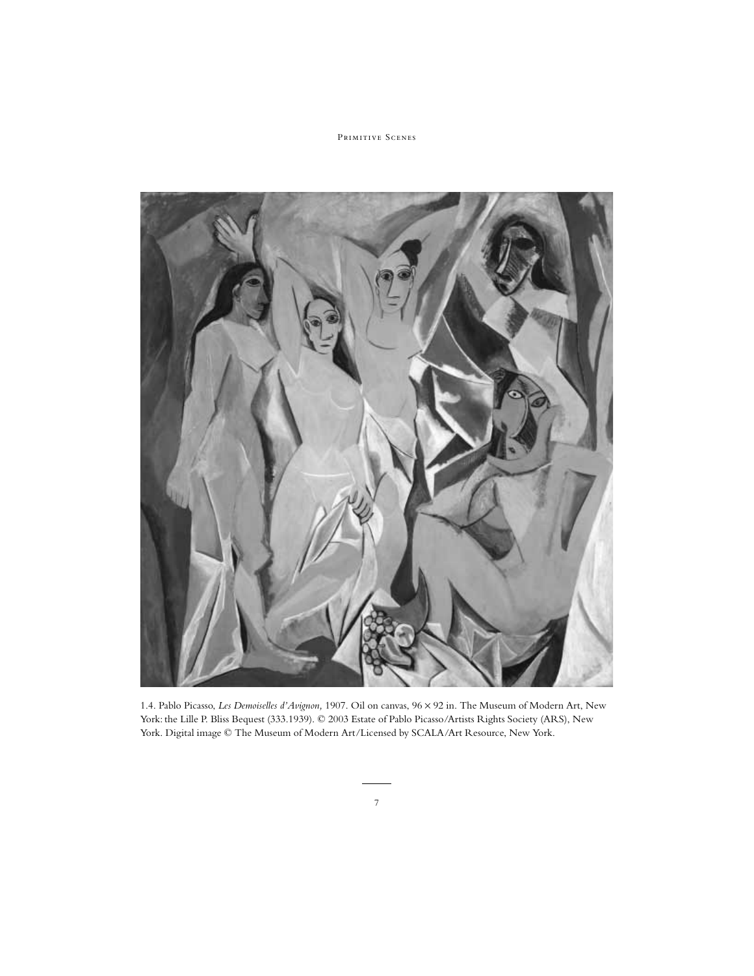

1.4. Pablo Picasso, *Les Demoiselles d'Avignon,* 1907. Oil on canvas, 96 × 92 in. The Museum of Modern Art, New York: the Lille P. Bliss Bequest (333.1939). © 2003 Estate of Pablo Picasso/Artists Rights Society (ARS), New York. Digital image © The Museum of Modern Art/Licensed by SCALA/Art Resource, New York.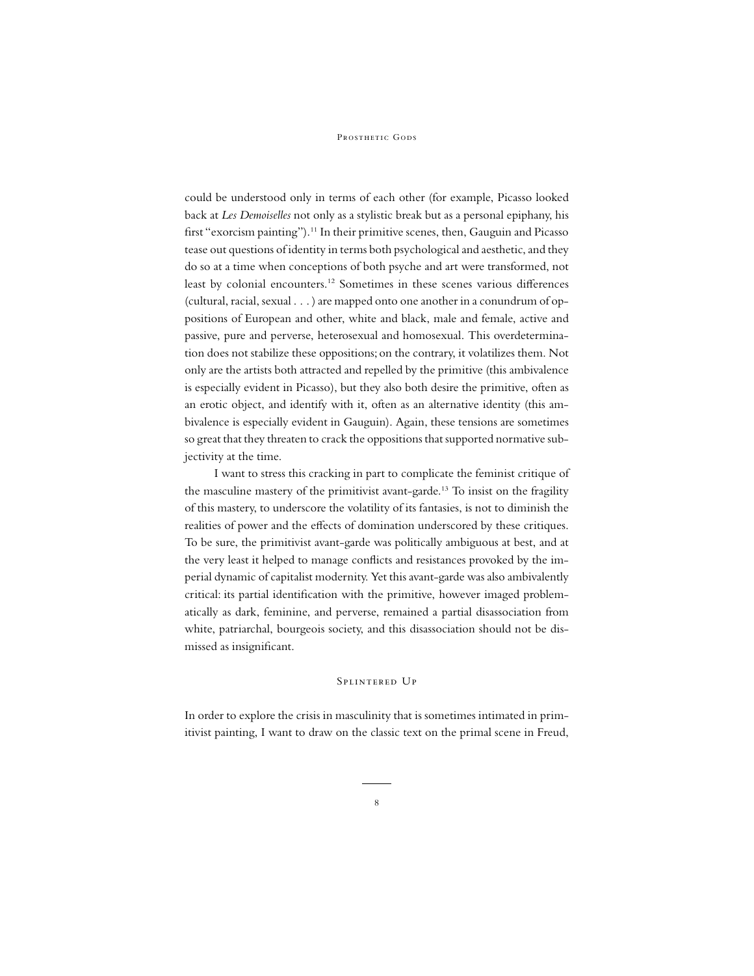could be understood only in terms of each other (for example, Picasso looked back at *Les Demoiselles* not only as a stylistic break but as a personal epiphany, his first "exorcism painting").<sup>11</sup> In their primitive scenes, then, Gauguin and Picasso tease out questions of identity in terms both psychological and aesthetic, and they do so at a time when conceptions of both psyche and art were transformed, not least by colonial encounters.12 Sometimes in these scenes various differences (cultural, racial, sexual . . . ) are mapped onto one another in a conundrum of oppositions of European and other, white and black, male and female, active and passive, pure and perverse, heterosexual and homosexual. This overdetermination does not stabilize these oppositions;on the contrary, it volatilizes them. Not only are the artists both attracted and repelled by the primitive (this ambivalence is especially evident in Picasso), but they also both desire the primitive, often as an erotic object, and identify with it, often as an alternative identity (this ambivalence is especially evident in Gauguin). Again, these tensions are sometimes so great that they threaten to crack the oppositions that supported normative subjectivity at the time.

I want to stress this cracking in part to complicate the feminist critique of the masculine mastery of the primitivist avant-garde.<sup>13</sup> To insist on the fragility of this mastery, to underscore the volatility of its fantasies, is not to diminish the realities of power and the effects of domination underscored by these critiques. To be sure, the primitivist avant-garde was politically ambiguous at best, and at the very least it helped to manage conflicts and resistances provoked by the imperial dynamic of capitalist modernity. Yet this avant-garde was also ambivalently critical: its partial identification with the primitive, however imaged problematically as dark, feminine, and perverse, remained a partial disassociation from white, patriarchal, bourgeois society, and this disassociation should not be dismissed as insignificant.

## Splintered Up

In order to explore the crisis in masculinity that is sometimes intimated in primitivist painting, I want to draw on the classic text on the primal scene in Freud,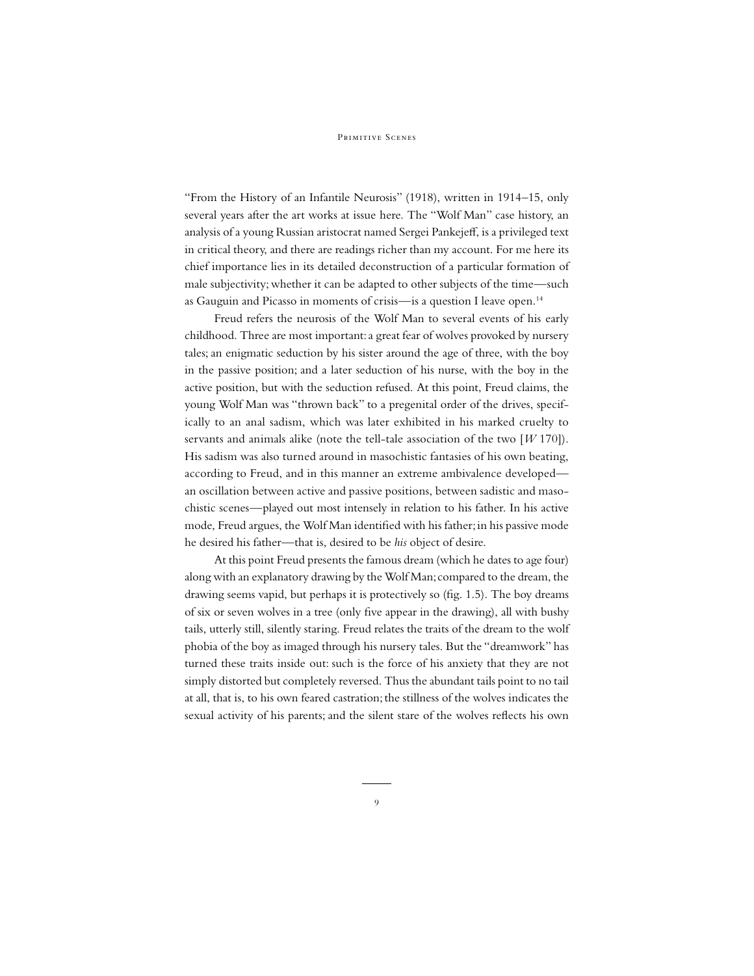"From the History of an Infantile Neurosis" (1918), written in 1914–15, only several years after the art works at issue here. The "Wolf Man" case history, an analysis of a young Russian aristocrat named Sergei Pankejeff, is a privileged text in critical theory, and there are readings richer than my account. For me here its chief importance lies in its detailed deconstruction of a particular formation of male subjectivity; whether it can be adapted to other subjects of the time—such as Gauguin and Picasso in moments of crisis—is a question I leave open.14

Freud refers the neurosis of the Wolf Man to several events of his early childhood. Three are most important:a great fear of wolves provoked by nursery tales; an enigmatic seduction by his sister around the age of three, with the boy in the passive position; and a later seduction of his nurse, with the boy in the active position, but with the seduction refused. At this point, Freud claims, the young Wolf Man was "thrown back" to a pregenital order of the drives, specifically to an anal sadism, which was later exhibited in his marked cruelty to servants and animals alike (note the tell-tale association of the two [*W* 170]). His sadism was also turned around in masochistic fantasies of his own beating, according to Freud, and in this manner an extreme ambivalence developed an oscillation between active and passive positions, between sadistic and masochistic scenes—played out most intensely in relation to his father. In his active mode, Freud argues, the Wolf Man identified with his father;in his passive mode he desired his father—that is, desired to be *his* object of desire.

At this point Freud presents the famous dream (which he dates to age four) along with an explanatory drawing by the Wolf Man;compared to the dream, the drawing seems vapid, but perhaps it is protectively so (fig. 1.5). The boy dreams of six or seven wolves in a tree (only five appear in the drawing), all with bushy tails, utterly still, silently staring. Freud relates the traits of the dream to the wolf phobia of the boy as imaged through his nursery tales. But the "dreamwork" has turned these traits inside out: such is the force of his anxiety that they are not simply distorted but completely reversed. Thus the abundant tails point to no tail at all, that is, to his own feared castration;the stillness of the wolves indicates the sexual activity of his parents; and the silent stare of the wolves reflects his own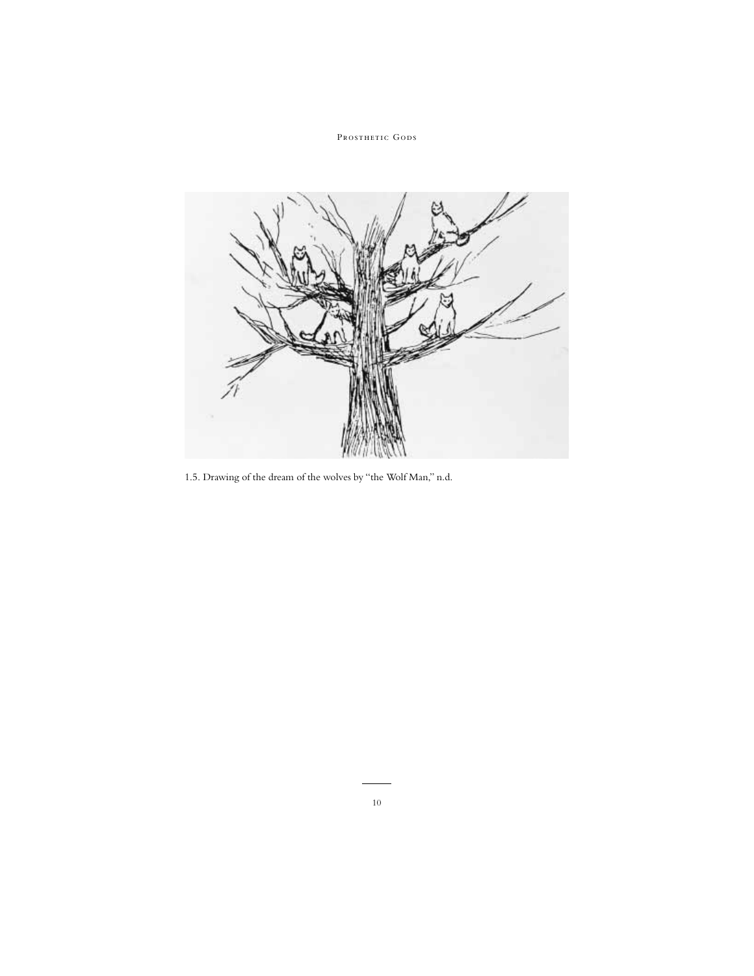# Prosthetic Gods



1.5. Drawing of the dream of the wolves by "the Wolf Man," n.d.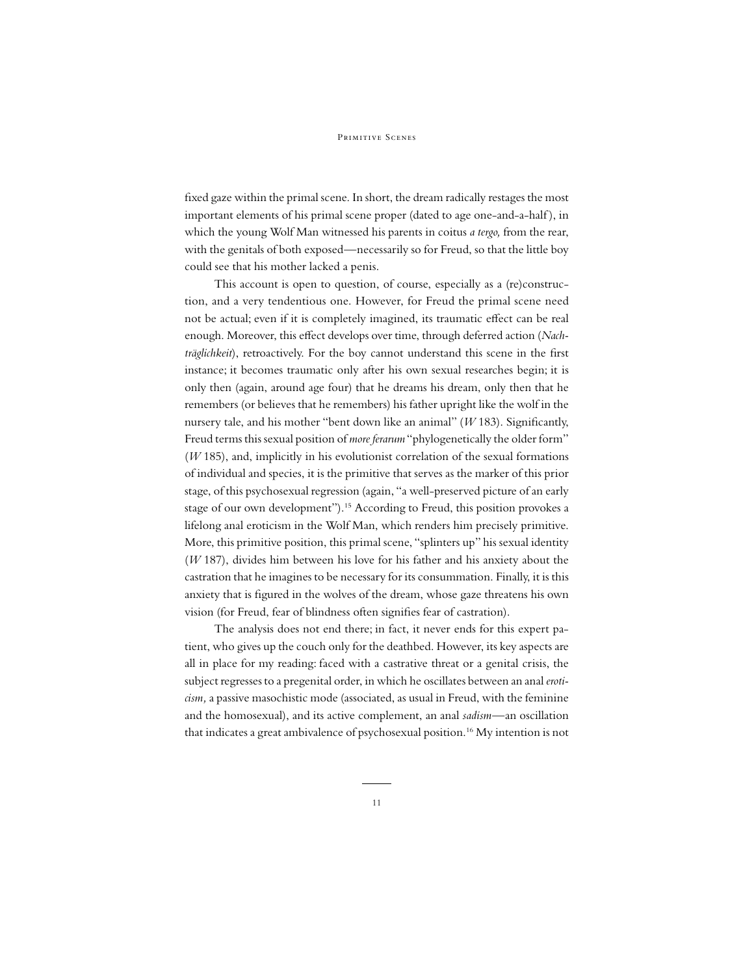fixed gaze within the primal scene. In short, the dream radically restages the most important elements of his primal scene proper (dated to age one-and-a-half ), in which the young Wolf Man witnessed his parents in coitus *a tergo,* from the rear, with the genitals of both exposed—necessarily so for Freud, so that the little boy could see that his mother lacked a penis.

This account is open to question, of course, especially as a (re)construction, and a very tendentious one. However, for Freud the primal scene need not be actual; even if it is completely imagined, its traumatic effect can be real enough. Moreover, this effect develops over time, through deferred action (*Nachträglichkeit*), retroactively. For the boy cannot understand this scene in the first instance; it becomes traumatic only after his own sexual researches begin; it is only then (again, around age four) that he dreams his dream, only then that he remembers (or believes that he remembers) his father upright like the wolf in the nursery tale, and his mother "bent down like an animal" (*W* 183). Significantly, Freud terms this sexual position of *more ferarum*"phylogenetically the older form" (*W* 185), and, implicitly in his evolutionist correlation of the sexual formations of individual and species, it is the primitive that serves as the marker of this prior stage, of this psychosexual regression (again, "a well-preserved picture of an early stage of our own development").<sup>15</sup> According to Freud, this position provokes a lifelong anal eroticism in the Wolf Man, which renders him precisely primitive. More, this primitive position, this primal scene, "splinters up" his sexual identity (*W* 187), divides him between his love for his father and his anxiety about the castration that he imagines to be necessary for its consummation. Finally, it is this anxiety that is figured in the wolves of the dream, whose gaze threatens his own vision (for Freud, fear of blindness often signifies fear of castration).

The analysis does not end there; in fact, it never ends for this expert patient, who gives up the couch only for the deathbed. However, its key aspects are all in place for my reading: faced with a castrative threat or a genital crisis, the subject regresses to a pregenital order, in which he oscillates between an anal *eroticism,* a passive masochistic mode (associated, as usual in Freud, with the feminine and the homosexual), and its active complement, an anal *sadism*—an oscillation that indicates a great ambivalence of psychosexual position.<sup>16</sup> My intention is not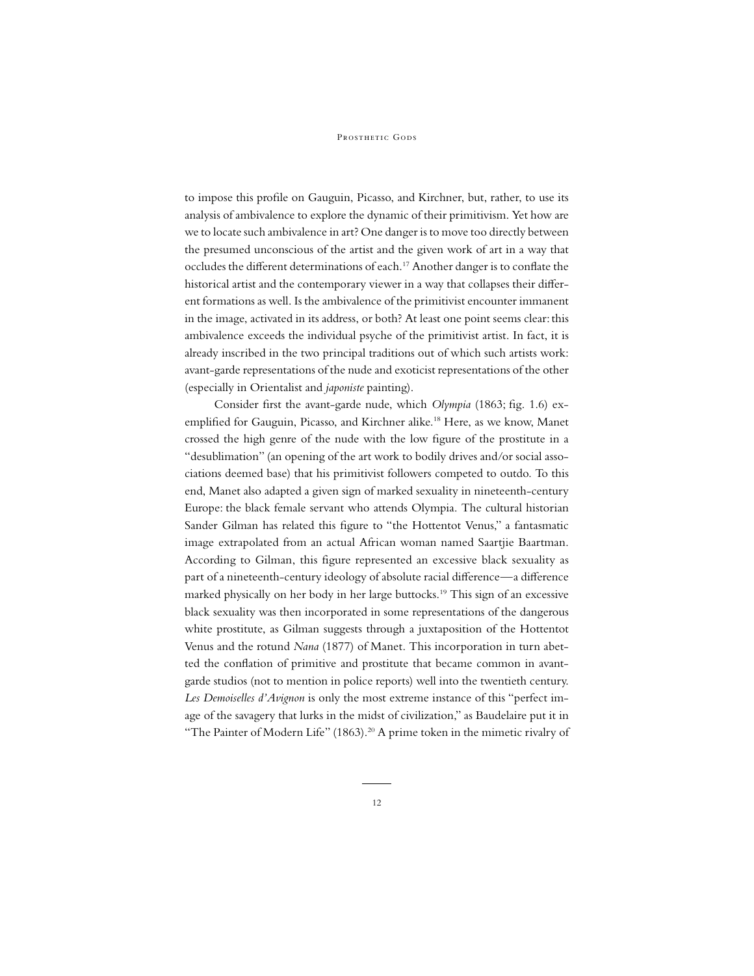to impose this profile on Gauguin, Picasso, and Kirchner, but, rather, to use its analysis of ambivalence to explore the dynamic of their primitivism. Yet how are we to locate such ambivalence in art? One danger is to move too directly between the presumed unconscious of the artist and the given work of art in a way that occludes the different determinations of each.17 Another danger is to conflate the historical artist and the contemporary viewer in a way that collapses their different formations as well. Is the ambivalence of the primitivist encounter immanent in the image, activated in its address, or both? At least one point seems clear:this ambivalence exceeds the individual psyche of the primitivist artist. In fact, it is already inscribed in the two principal traditions out of which such artists work: avant-garde representations of the nude and exoticist representations of the other (especially in Orientalist and *japoniste* painting).

Consider first the avant-garde nude, which *Olympia* (1863; fig. 1.6) exemplified for Gauguin, Picasso, and Kirchner alike.<sup>18</sup> Here, as we know, Manet crossed the high genre of the nude with the low figure of the prostitute in a "desublimation" (an opening of the art work to bodily drives and/or social associations deemed base) that his primitivist followers competed to outdo. To this end, Manet also adapted a given sign of marked sexuality in nineteenth-century Europe: the black female servant who attends Olympia. The cultural historian Sander Gilman has related this figure to "the Hottentot Venus," a fantasmatic image extrapolated from an actual African woman named Saartjie Baartman. According to Gilman, this figure represented an excessive black sexuality as part of a nineteenth-century ideology of absolute racial difference—a difference marked physically on her body in her large buttocks.19 This sign of an excessive black sexuality was then incorporated in some representations of the dangerous white prostitute, as Gilman suggests through a juxtaposition of the Hottentot Venus and the rotund *Nana* (1877) of Manet. This incorporation in turn abetted the conflation of primitive and prostitute that became common in avantgarde studios (not to mention in police reports) well into the twentieth century. *Les Demoiselles d'Avignon* is only the most extreme instance of this "perfect image of the savagery that lurks in the midst of civilization," as Baudelaire put it in "The Painter of Modern Life" (1863).<sup>20</sup> A prime token in the mimetic rivalry of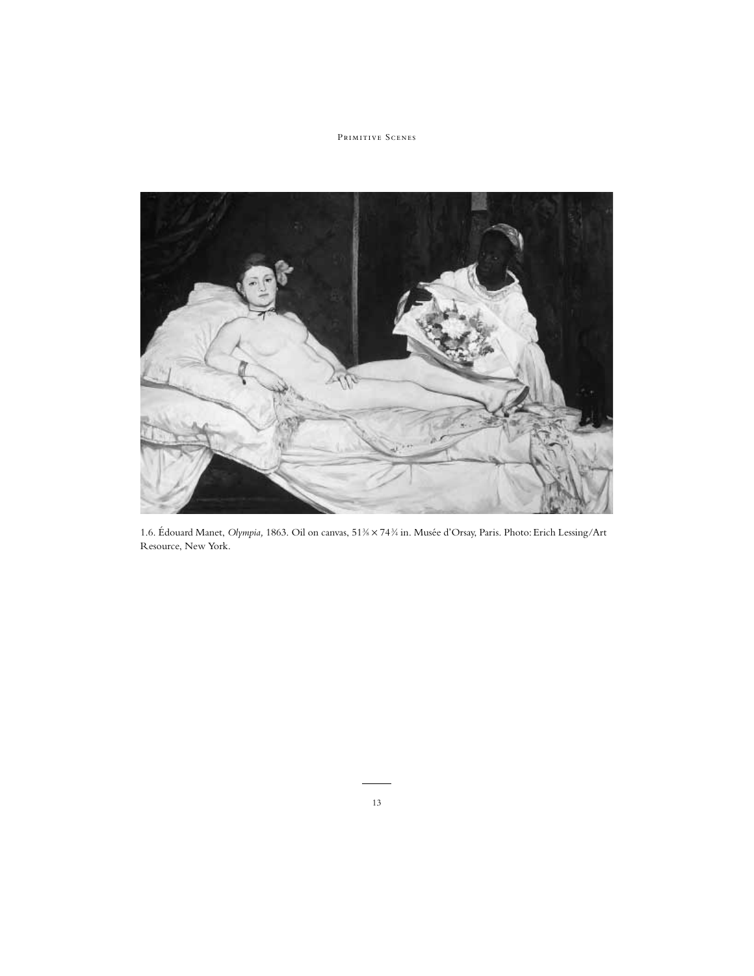

1.6. Édouard Manet, *Olympia,* 1863. Oil on canvas, 513 ⁄8 × 743 ⁄4 in. Musée d'Orsay, Paris. Photo: Erich Lessing/Art Resource, New York.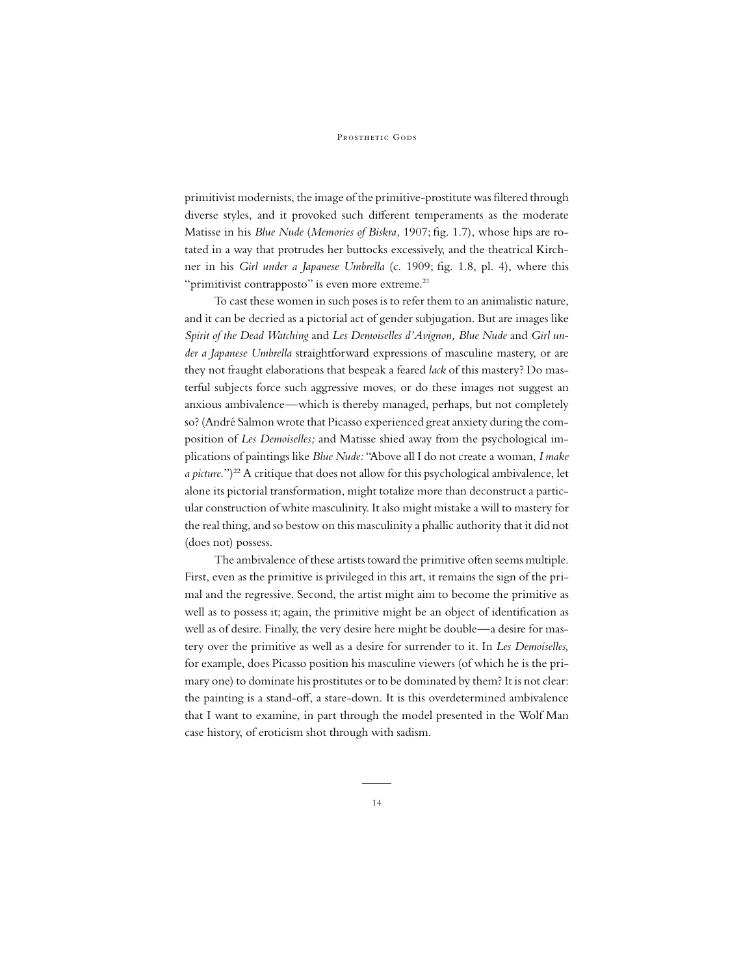primitivist modernists, the image of the primitive-prostitute was filtered through diverse styles, and it provoked such different temperaments as the moderate Matisse in his *Blue Nude* (*Memories of Biskra,* 1907; fig. 1.7), whose hips are rotated in a way that protrudes her buttocks excessively, and the theatrical Kirchner in his *Girl under a Japanese Umbrella* (c. 1909; fig. 1.8, pl. 4), where this "primitivist contrapposto" is even more extreme.<sup>21</sup>

To cast these women in such poses is to refer them to an animalistic nature, and it can be decried as a pictorial act of gender subjugation. But are images like *Spirit of the Dead Watching* and *Les Demoiselles d'Avignon, Blue Nude* and *Girl under a Japanese Umbrella* straightforward expressions of masculine mastery, or are they not fraught elaborations that bespeak a feared *lack* of this mastery? Do masterful subjects force such aggressive moves, or do these images not suggest an anxious ambivalence—which is thereby managed, perhaps, but not completely so? (André Salmon wrote that Picasso experienced great anxiety during the composition of *Les Demoiselles;* and Matisse shied away from the psychological implications of paintings like *Blue Nude:* "Above all I do not create a woman, *I make a picture.*")<sup>22</sup> A critique that does not allow for this psychological ambivalence, let alone its pictorial transformation, might totalize more than deconstruct a particular construction of white masculinity. It also might mistake a will to mastery for the real thing, and so bestow on this masculinity a phallic authority that it did not (does not) possess.

The ambivalence of these artists toward the primitive often seems multiple. First, even as the primitive is privileged in this art, it remains the sign of the primal and the regressive. Second, the artist might aim to become the primitive as well as to possess it; again, the primitive might be an object of identification as well as of desire. Finally, the very desire here might be double—a desire for mastery over the primitive as well as a desire for surrender to it. In *Les Demoiselles,* for example, does Picasso position his masculine viewers (of which he is the primary one) to dominate his prostitutes or to be dominated by them? It is not clear: the painting is a stand-off, a stare-down. It is this overdetermined ambivalence that I want to examine, in part through the model presented in the Wolf Man case history, of eroticism shot through with sadism.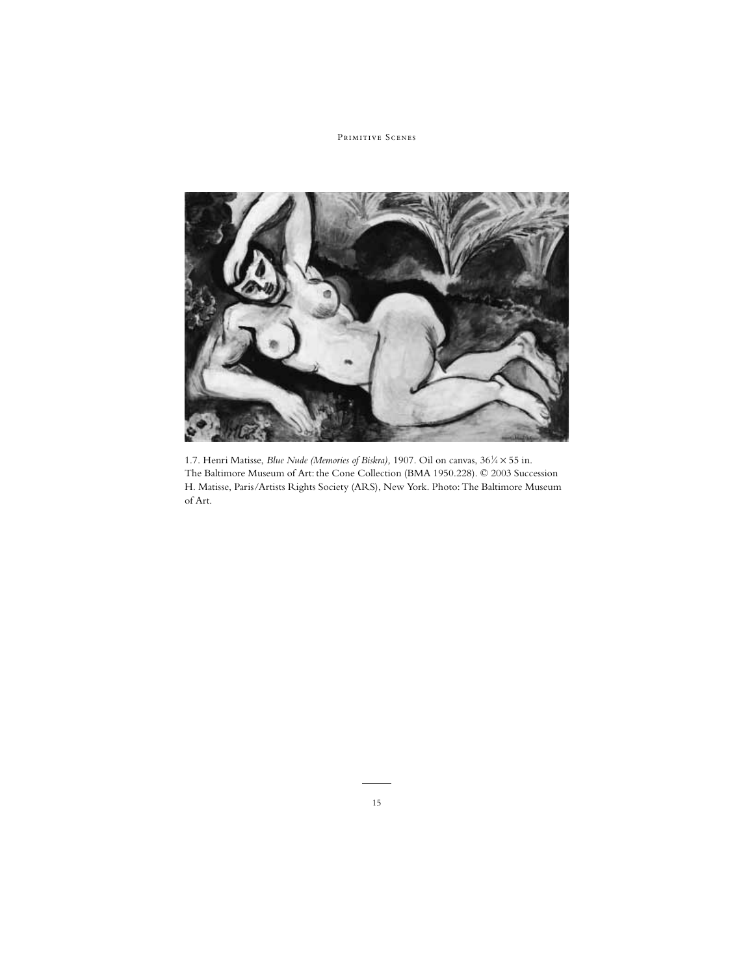

1.7. Henri Matisse, *Blue Nude (Memories of Biskra)*, 1907. Oil on canvas, 36<sup>1</sup>/<sub>4</sub> × 55 in. The Baltimore Museum of Art: the Cone Collection (BMA 1950.228). © 2003 Succession H. Matisse, Paris/Artists Rights Society (ARS), New York. Photo: The Baltimore Museum of Art.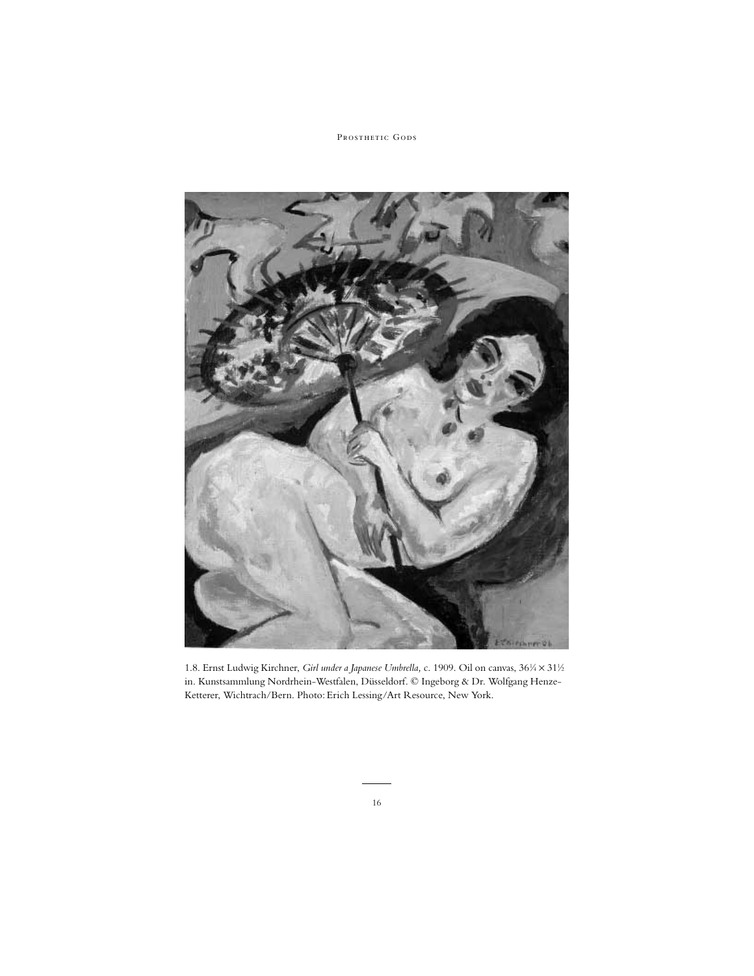# Prosthetic Gods



1.8. Ernst Ludwig Kirchner, *Girl under a Japanese Umbrella*, c. 1909. Oil on canvas,  $36\frac{1}{4} \times 31\frac{1}{2}$ in. Kunstsammlung Nordrhein-Westfalen, Düsseldorf. © Ingeborg & Dr. Wolfgang Henze-Ketterer, Wichtrach/Bern. Photo: Erich Lessing/Art Resource, New York.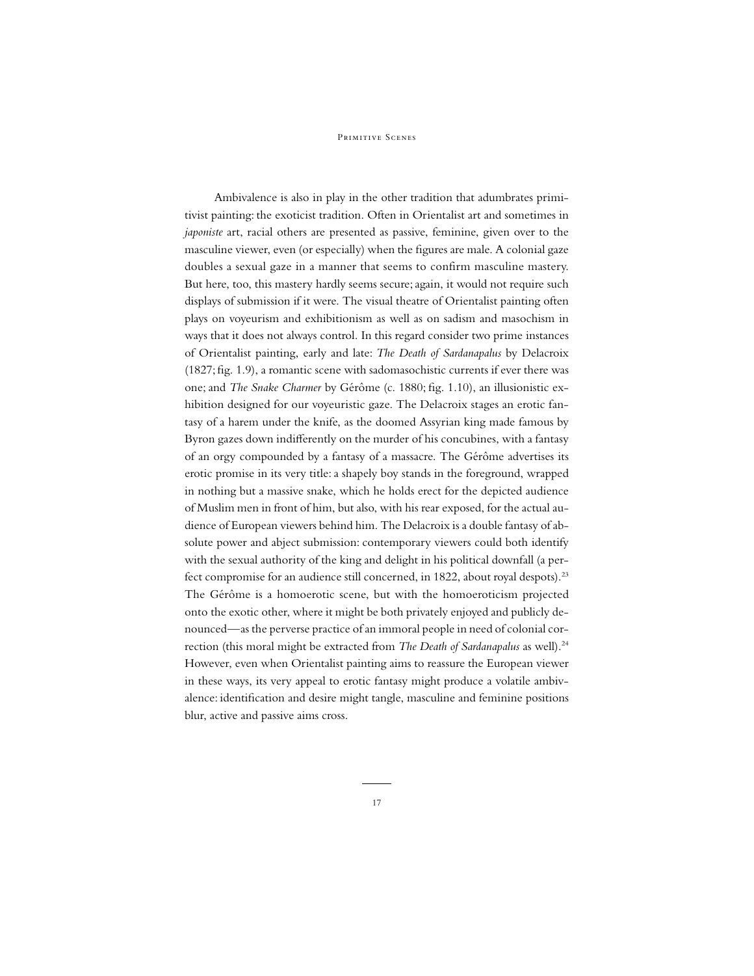Ambivalence is also in play in the other tradition that adumbrates primitivist painting: the exoticist tradition. Often in Orientalist art and sometimes in *japoniste* art, racial others are presented as passive, feminine, given over to the masculine viewer, even (or especially) when the figures are male. A colonial gaze doubles a sexual gaze in a manner that seems to confirm masculine mastery. But here, too, this mastery hardly seems secure; again, it would not require such displays of submission if it were. The visual theatre of Orientalist painting often plays on voyeurism and exhibitionism as well as on sadism and masochism in ways that it does not always control. In this regard consider two prime instances of Orientalist painting, early and late: *The Death of Sardanapalus* by Delacroix (1827;fig. 1.9), a romantic scene with sadomasochistic currents if ever there was one; and *The Snake Charmer* by Gérôme (c. 1880; fig. 1.10), an illusionistic exhibition designed for our voyeuristic gaze. The Delacroix stages an erotic fantasy of a harem under the knife, as the doomed Assyrian king made famous by Byron gazes down indifferently on the murder of his concubines, with a fantasy of an orgy compounded by a fantasy of a massacre. The Gérôme advertises its erotic promise in its very title: a shapely boy stands in the foreground, wrapped in nothing but a massive snake, which he holds erect for the depicted audience of Muslim men in front of him, but also, with his rear exposed, for the actual audience of European viewers behind him. The Delacroix is a double fantasy of absolute power and abject submission: contemporary viewers could both identify with the sexual authority of the king and delight in his political downfall (a perfect compromise for an audience still concerned, in 1822, about royal despots).23 The Gérôme is a homoerotic scene, but with the homoeroticism projected onto the exotic other, where it might be both privately enjoyed and publicly denounced—as the perverse practice of an immoral people in need of colonial correction (this moral might be extracted from *The Death of Sardanapalus* as well).<sup>24</sup> However, even when Orientalist painting aims to reassure the European viewer in these ways, its very appeal to erotic fantasy might produce a volatile ambivalence: identification and desire might tangle, masculine and feminine positions blur, active and passive aims cross.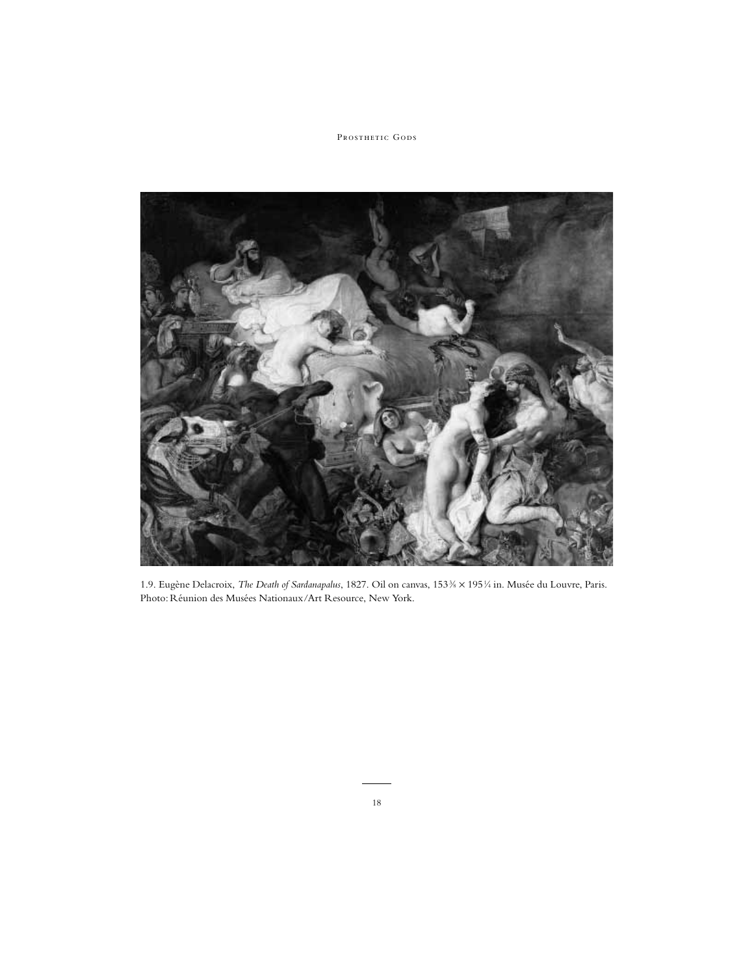# Prosthetic Gods



1.9. Eugène Delacroix, *The Death of Sardanapalus*, 1827. Oil on canvas, 1533 ⁄8 × 1951 ⁄4 in. Musée du Louvre, Paris. Photo: Réunion des Musées Nationaux/Art Resource, New York.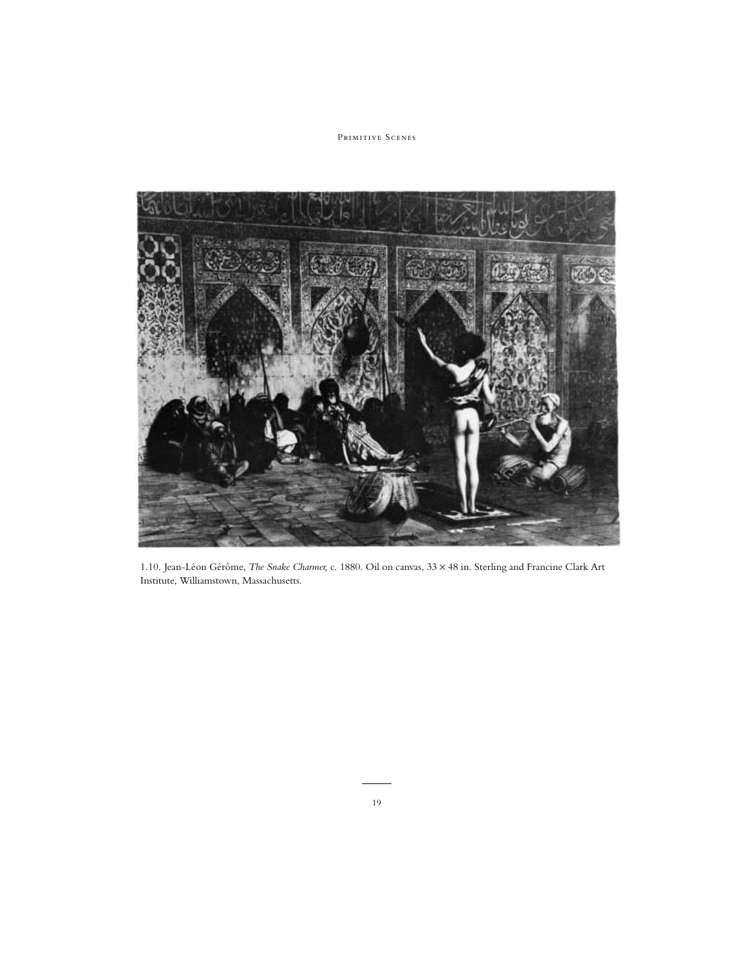

1.10. Jean-Léon Gérôme, *The Snake Charmer,* c. 1880. Oil on canvas, 33 × 48 in. Sterling and Francine Clark Art Institute, Williamstown, Massachusetts.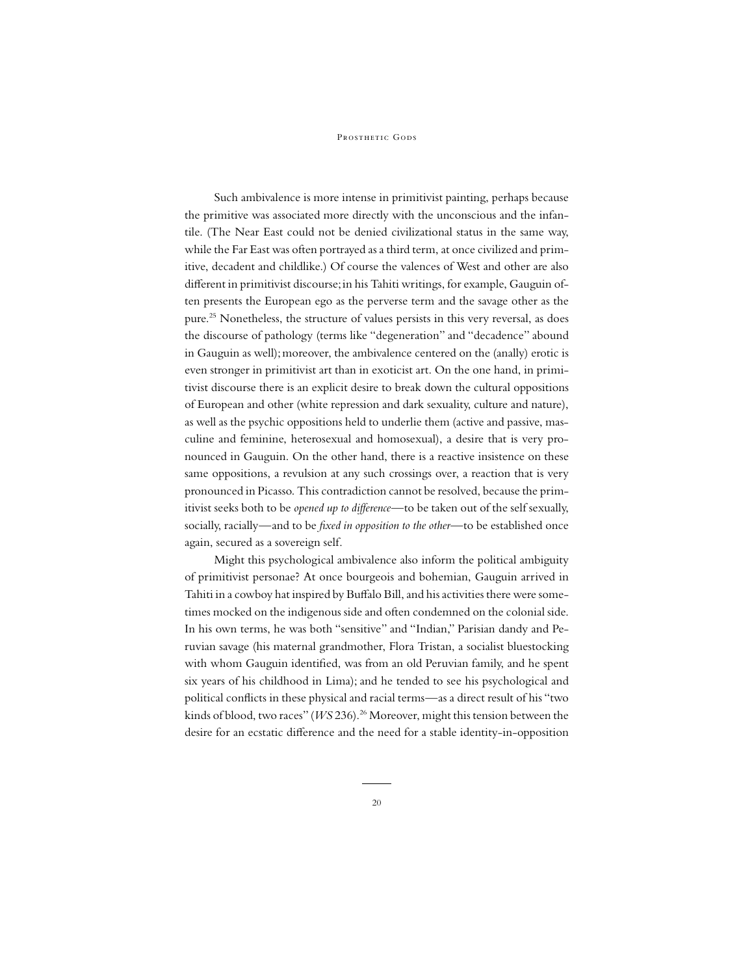Such ambivalence is more intense in primitivist painting, perhaps because the primitive was associated more directly with the unconscious and the infantile. (The Near East could not be denied civilizational status in the same way, while the Far East was often portrayed as a third term, at once civilized and primitive, decadent and childlike.) Of course the valences of West and other are also different in primitivist discourse;in his Tahiti writings, for example, Gauguin often presents the European ego as the perverse term and the savage other as the pure.25 Nonetheless, the structure of values persists in this very reversal, as does the discourse of pathology (terms like "degeneration" and "decadence" abound in Gauguin as well); moreover, the ambivalence centered on the (anally) erotic is even stronger in primitivist art than in exoticist art. On the one hand, in primitivist discourse there is an explicit desire to break down the cultural oppositions of European and other (white repression and dark sexuality, culture and nature), as well as the psychic oppositions held to underlie them (active and passive, masculine and feminine, heterosexual and homosexual), a desire that is very pronounced in Gauguin. On the other hand, there is a reactive insistence on these same oppositions, a revulsion at any such crossings over, a reaction that is very pronounced in Picasso. This contradiction cannot be resolved, because the primitivist seeks both to be *opened up to difference*—to be taken out of the self sexually, socially, racially—and to be *fixed in opposition to the other*—to be established once again, secured as a sovereign self.

Might this psychological ambivalence also inform the political ambiguity of primitivist personae? At once bourgeois and bohemian, Gauguin arrived in Tahiti in a cowboy hat inspired by Buffalo Bill, and his activities there were sometimes mocked on the indigenous side and often condemned on the colonial side. In his own terms, he was both "sensitive" and "Indian," Parisian dandy and Peruvian savage (his maternal grandmother, Flora Tristan, a socialist bluestocking with whom Gauguin identified, was from an old Peruvian family, and he spent six years of his childhood in Lima); and he tended to see his psychological and political conflicts in these physical and racial terms—as a direct result of his "two kinds of blood, two races" (*WS* 236).<sup>26</sup> Moreover, might this tension between the desire for an ecstatic difference and the need for a stable identity-in-opposition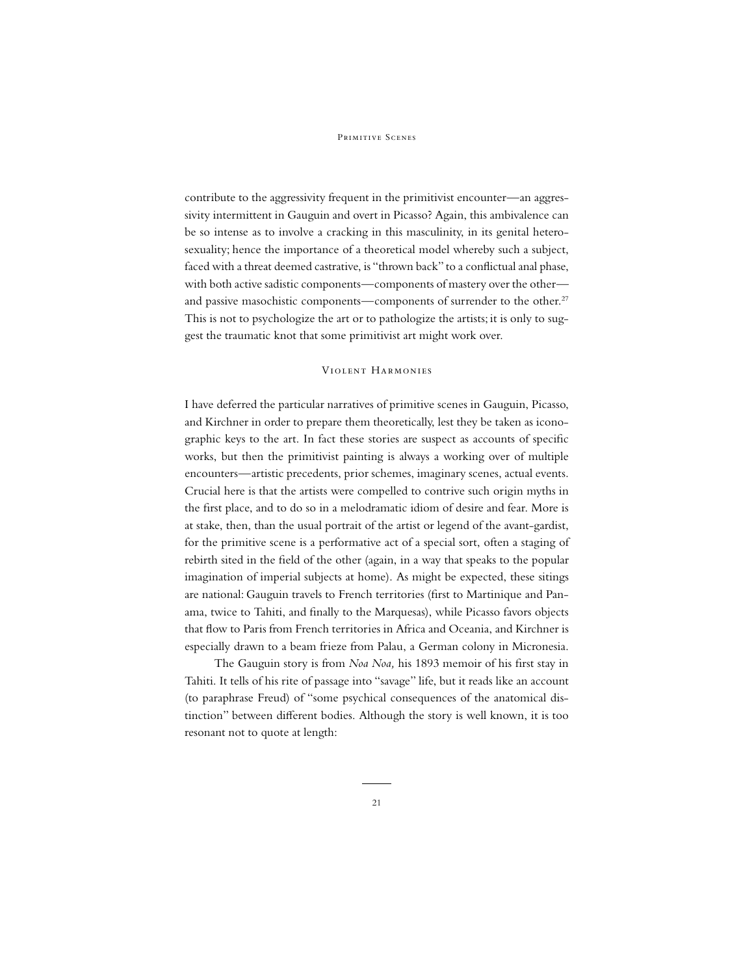contribute to the aggressivity frequent in the primitivist encounter—an aggressivity intermittent in Gauguin and overt in Picasso? Again, this ambivalence can be so intense as to involve a cracking in this masculinity, in its genital heterosexuality; hence the importance of a theoretical model whereby such a subject, faced with a threat deemed castrative, is "thrown back" to a conflictual anal phase, with both active sadistic components—components of mastery over the other and passive masochistic components—components of surrender to the other.<sup>27</sup> This is not to psychologize the art or to pathologize the artists; it is only to suggest the traumatic knot that some primitivist art might work over.

### Violent Harmonies

I have deferred the particular narratives of primitive scenes in Gauguin, Picasso, and Kirchner in order to prepare them theoretically, lest they be taken as iconographic keys to the art. In fact these stories are suspect as accounts of specific works, but then the primitivist painting is always a working over of multiple encounters—artistic precedents, prior schemes, imaginary scenes, actual events. Crucial here is that the artists were compelled to contrive such origin myths in the first place, and to do so in a melodramatic idiom of desire and fear. More is at stake, then, than the usual portrait of the artist or legend of the avant-gardist, for the primitive scene is a performative act of a special sort, often a staging of rebirth sited in the field of the other (again, in a way that speaks to the popular imagination of imperial subjects at home). As might be expected, these sitings are national: Gauguin travels to French territories (first to Martinique and Panama, twice to Tahiti, and finally to the Marquesas), while Picasso favors objects that flow to Paris from French territories in Africa and Oceania, and Kirchner is especially drawn to a beam frieze from Palau, a German colony in Micronesia.

The Gauguin story is from *Noa Noa,* his 1893 memoir of his first stay in Tahiti. It tells of his rite of passage into "savage" life, but it reads like an account (to paraphrase Freud) of "some psychical consequences of the anatomical distinction" between different bodies. Although the story is well known, it is too resonant not to quote at length: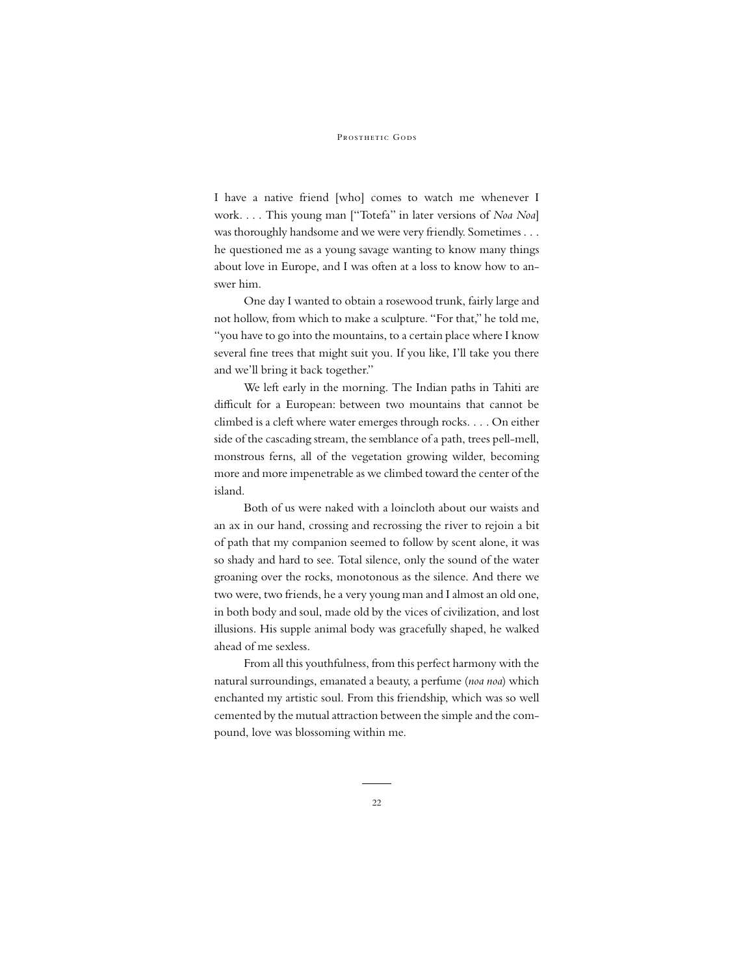I have a native friend [who] comes to watch me whenever I work. . . . This young man ["Totefa" in later versions of *Noa Noa*] was thoroughly handsome and we were very friendly. Sometimes . . . he questioned me as a young savage wanting to know many things about love in Europe, and I was often at a loss to know how to answer him.

One day I wanted to obtain a rosewood trunk, fairly large and not hollow, from which to make a sculpture. "For that," he told me, "you have to go into the mountains, to a certain place where I know several fine trees that might suit you. If you like, I'll take you there and we'll bring it back together."

We left early in the morning. The Indian paths in Tahiti are difficult for a European: between two mountains that cannot be climbed is a cleft where water emerges through rocks. . . . On either side of the cascading stream, the semblance of a path, trees pell-mell, monstrous ferns, all of the vegetation growing wilder, becoming more and more impenetrable as we climbed toward the center of the island.

Both of us were naked with a loincloth about our waists and an ax in our hand, crossing and recrossing the river to rejoin a bit of path that my companion seemed to follow by scent alone, it was so shady and hard to see. Total silence, only the sound of the water groaning over the rocks, monotonous as the silence. And there we two were, two friends, he a very young man and I almost an old one, in both body and soul, made old by the vices of civilization, and lost illusions. His supple animal body was gracefully shaped, he walked ahead of me sexless.

From all this youthfulness, from this perfect harmony with the natural surroundings, emanated a beauty, a perfume (*noa noa*) which enchanted my artistic soul. From this friendship, which was so well cemented by the mutual attraction between the simple and the compound, love was blossoming within me.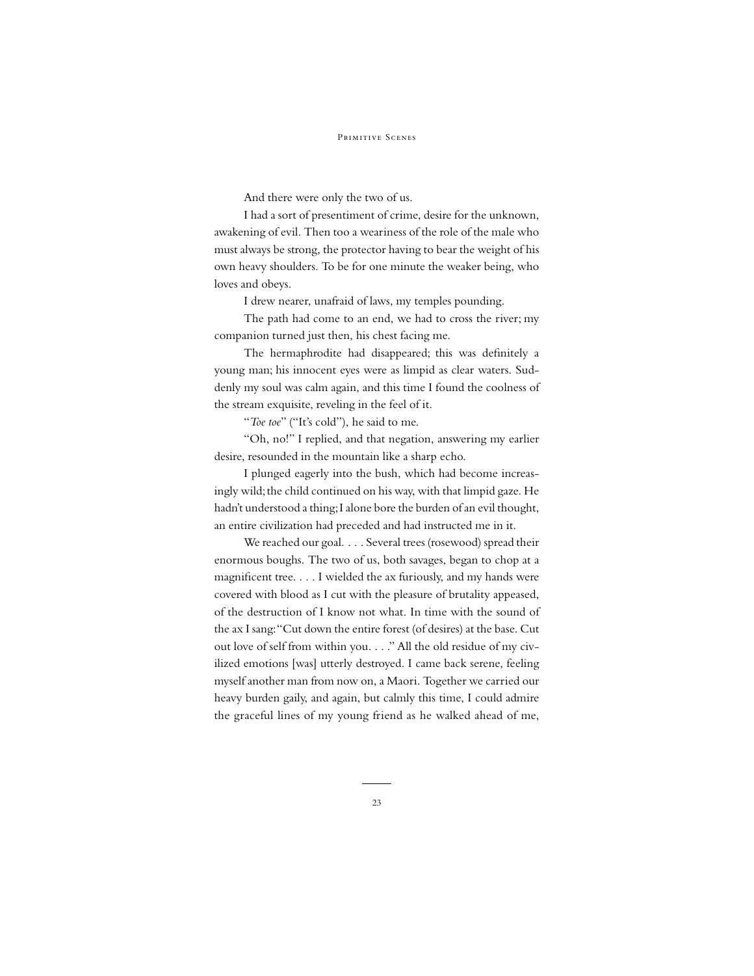And there were only the two of us.

I had a sort of presentiment of crime, desire for the unknown, awakening of evil. Then too a weariness of the role of the male who must always be strong, the protector having to bear the weight of his own heavy shoulders. To be for one minute the weaker being, who loves and obeys.

I drew nearer, unafraid of laws, my temples pounding.

The path had come to an end, we had to cross the river; my companion turned just then, his chest facing me.

The hermaphrodite had disappeared; this was definitely a young man; his innocent eyes were as limpid as clear waters. Suddenly my soul was calm again, and this time I found the coolness of the stream exquisite, reveling in the feel of it.

"*Toe toe*" ("It's cold"), he said to me.

"Oh, no!" I replied, and that negation, answering my earlier desire, resounded in the mountain like a sharp echo.

I plunged eagerly into the bush, which had become increasingly wild;the child continued on his way, with that limpid gaze. He hadn't understood a thing;I alone bore the burden of an evil thought, an entire civilization had preceded and had instructed me in it.

We reached our goal. . . . Several trees (rosewood) spread their enormous boughs. The two of us, both savages, began to chop at a magnificent tree. . . . I wielded the ax furiously, and my hands were covered with blood as I cut with the pleasure of brutality appeased, of the destruction of I know not what. In time with the sound of the ax I sang:"Cut down the entire forest (of desires) at the base. Cut out love of self from within you. . . ." All the old residue of my civilized emotions [was] utterly destroyed. I came back serene, feeling myself another man from now on, a Maori. Together we carried our heavy burden gaily, and again, but calmly this time, I could admire the graceful lines of my young friend as he walked ahead of me,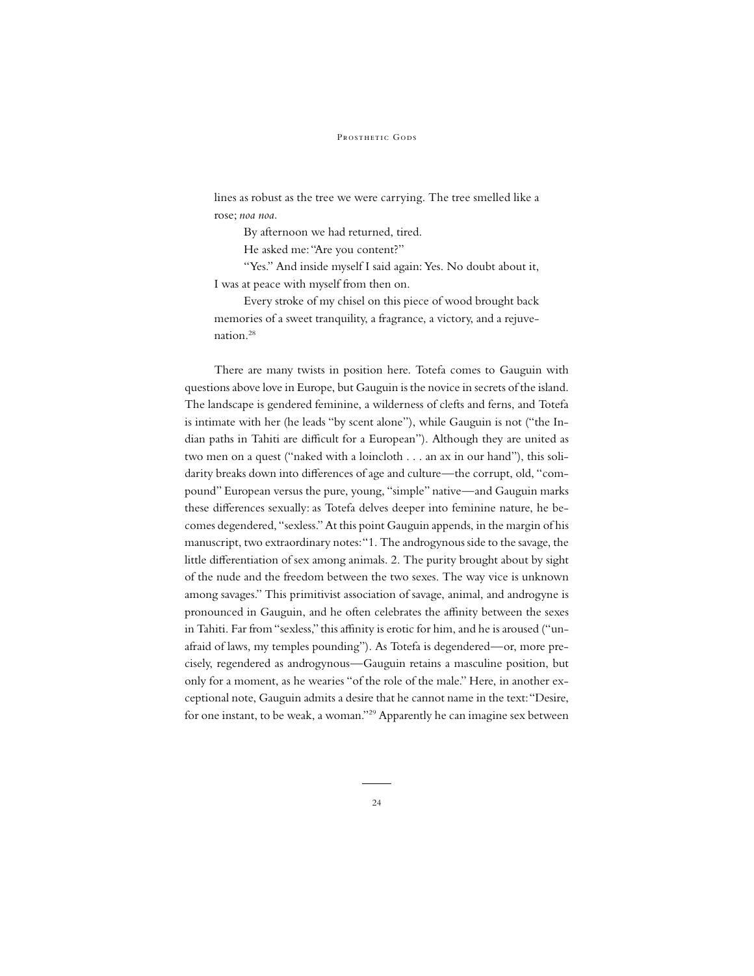lines as robust as the tree we were carrying. The tree smelled like a rose; *noa noa.*

By afternoon we had returned, tired.

He asked me:"Are you content?"

"Yes." And inside myself I said again: Yes. No doubt about it, I was at peace with myself from then on.

Every stroke of my chisel on this piece of wood brought back memories of a sweet tranquility, a fragrance, a victory, and a rejuvenation.28

There are many twists in position here. Totefa comes to Gauguin with questions above love in Europe, but Gauguin is the novice in secrets of the island. The landscape is gendered feminine, a wilderness of clefts and ferns, and Totefa is intimate with her (he leads "by scent alone"), while Gauguin is not ("the Indian paths in Tahiti are difficult for a European"). Although they are united as two men on a quest ("naked with a loincloth . . . an ax in our hand"), this solidarity breaks down into differences of age and culture—the corrupt, old, "compound" European versus the pure, young, "simple" native—and Gauguin marks these differences sexually: as Totefa delves deeper into feminine nature, he becomes degendered, "sexless." At this point Gauguin appends, in the margin of his manuscript, two extraordinary notes:"1. The androgynous side to the savage, the little differentiation of sex among animals. 2. The purity brought about by sight of the nude and the freedom between the two sexes. The way vice is unknown among savages." This primitivist association of savage, animal, and androgyne is pronounced in Gauguin, and he often celebrates the affinity between the sexes in Tahiti. Far from "sexless," this affinity is erotic for him, and he is aroused ("unafraid of laws, my temples pounding"). As Totefa is degendered—or, more precisely, regendered as androgynous—Gauguin retains a masculine position, but only for a moment, as he wearies "of the role of the male." Here, in another exceptional note, Gauguin admits a desire that he cannot name in the text:"Desire, for one instant, to be weak, a woman."<sup>29</sup> Apparently he can imagine sex between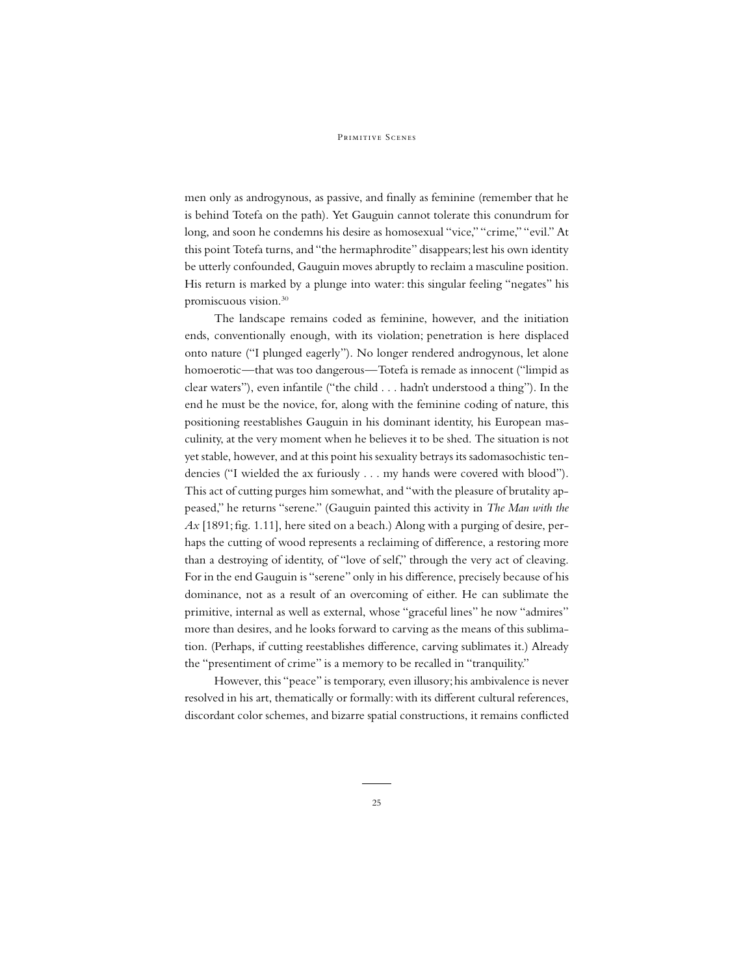men only as androgynous, as passive, and finally as feminine (remember that he is behind Totefa on the path). Yet Gauguin cannot tolerate this conundrum for long, and soon he condemns his desire as homosexual "vice," "crime," "evil." At this point Totefa turns, and "the hermaphrodite" disappears;lest his own identity be utterly confounded, Gauguin moves abruptly to reclaim a masculine position. His return is marked by a plunge into water: this singular feeling "negates" his promiscuous vision.30

The landscape remains coded as feminine, however, and the initiation ends, conventionally enough, with its violation; penetration is here displaced onto nature ("I plunged eagerly"). No longer rendered androgynous, let alone homoerotic—that was too dangerous—Totefa is remade as innocent ("limpid as clear waters"), even infantile ("the child . . . hadn't understood a thing"). In the end he must be the novice, for, along with the feminine coding of nature, this positioning reestablishes Gauguin in his dominant identity, his European masculinity, at the very moment when he believes it to be shed. The situation is not yet stable, however, and at this point his sexuality betrays its sadomasochistic tendencies ("I wielded the ax furiously . . . my hands were covered with blood"). This act of cutting purges him somewhat, and "with the pleasure of brutality appeased," he returns "serene." (Gauguin painted this activity in *The Man with the Ax* [1891;fig. 1.11], here sited on a beach.) Along with a purging of desire, perhaps the cutting of wood represents a reclaiming of difference, a restoring more than a destroying of identity, of "love of self," through the very act of cleaving. For in the end Gauguin is "serene" only in his difference, precisely because of his dominance, not as a result of an overcoming of either. He can sublimate the primitive, internal as well as external, whose "graceful lines" he now "admires" more than desires, and he looks forward to carving as the means of this sublimation. (Perhaps, if cutting reestablishes difference, carving sublimates it.) Already the "presentiment of crime" is a memory to be recalled in "tranquility."

However, this "peace" is temporary, even illusory;his ambivalence is never resolved in his art, thematically or formally:with its different cultural references, discordant color schemes, and bizarre spatial constructions, it remains conflicted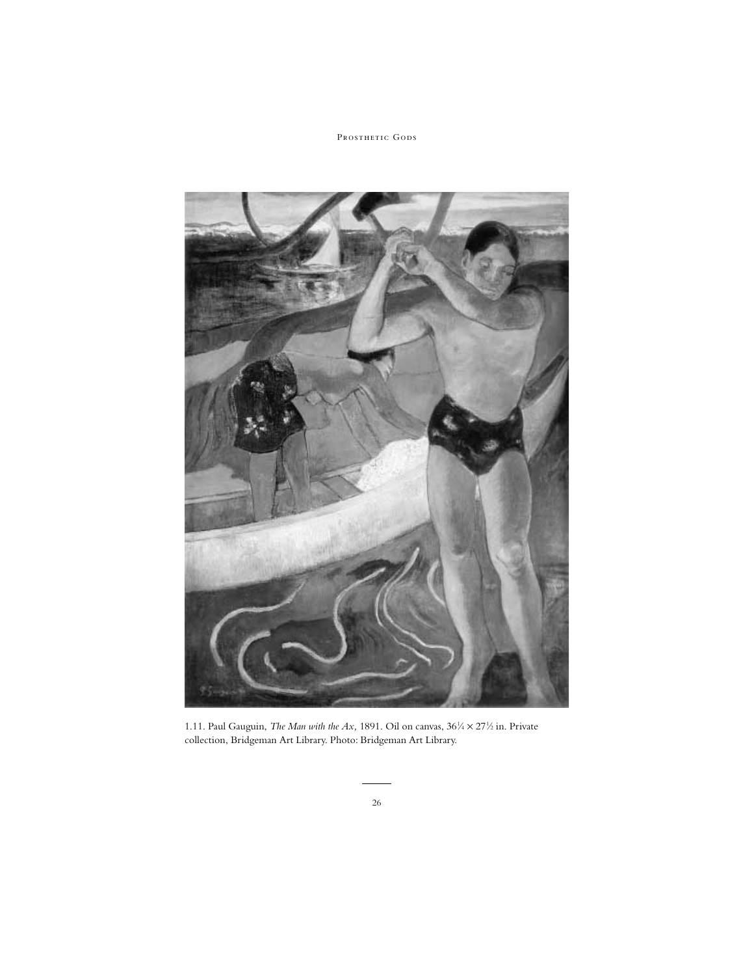# Prosthetic Gods



1.11. Paul Gauguin, *The Man with the Ax*, 1891. Oil on canvas,  $36\frac{1}{4} \times 27\frac{1}{2}$  in. Private collection, Bridgeman Art Library. Photo: Bridgeman Art Library.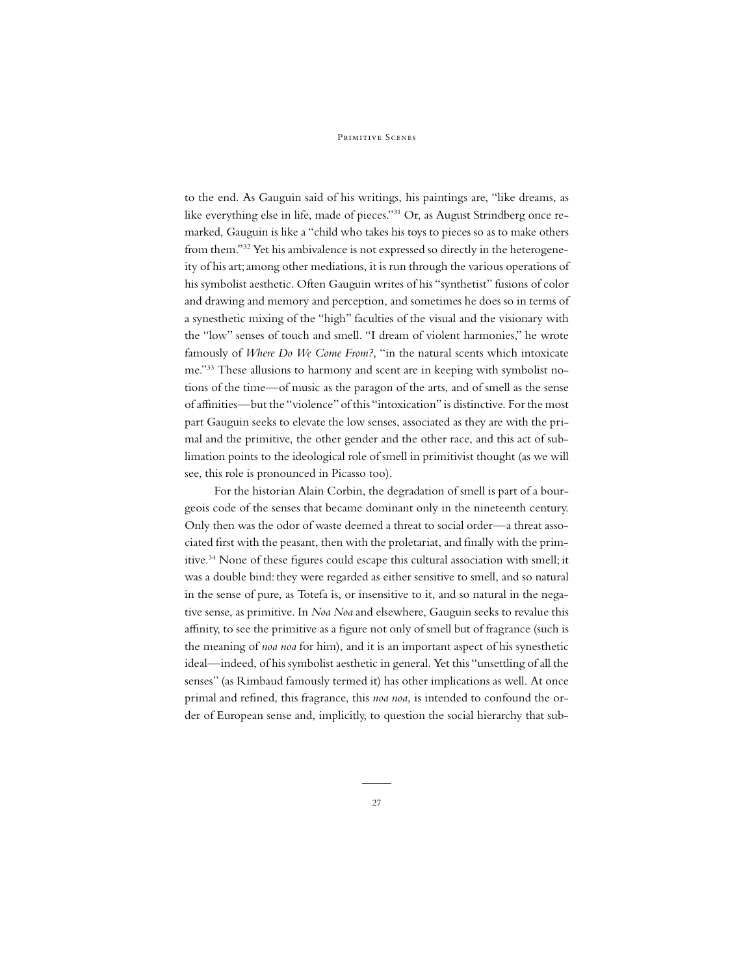to the end. As Gauguin said of his writings, his paintings are, "like dreams, as like everything else in life, made of pieces."31 Or, as August Strindberg once remarked, Gauguin is like a "child who takes his toys to pieces so as to make others from them."32 Yet his ambivalence is not expressed so directly in the heterogeneity of his art;among other mediations, it is run through the various operations of his symbolist aesthetic. Often Gauguin writes of his "synthetist" fusions of color and drawing and memory and perception, and sometimes he does so in terms of a synesthetic mixing of the "high" faculties of the visual and the visionary with the "low" senses of touch and smell. "I dream of violent harmonies," he wrote famously of *Where Do We Come From?,* "in the natural scents which intoxicate me."33 These allusions to harmony and scent are in keeping with symbolist notions of the time—of music as the paragon of the arts, and of smell as the sense of affinities—but the "violence" of this "intoxication" is distinctive. For the most part Gauguin seeks to elevate the low senses, associated as they are with the primal and the primitive, the other gender and the other race, and this act of sublimation points to the ideological role of smell in primitivist thought (as we will see, this role is pronounced in Picasso too).

For the historian Alain Corbin, the degradation of smell is part of a bourgeois code of the senses that became dominant only in the nineteenth century. Only then was the odor of waste deemed a threat to social order—a threat associated first with the peasant, then with the proletariat, and finally with the primitive.34 None of these figures could escape this cultural association with smell; it was a double bind: they were regarded as either sensitive to smell, and so natural in the sense of pure, as Totefa is, or insensitive to it, and so natural in the negative sense, as primitive. In *Noa Noa* and elsewhere, Gauguin seeks to revalue this affinity, to see the primitive as a figure not only of smell but of fragrance (such is the meaning of *noa noa* for him), and it is an important aspect of his synesthetic ideal—indeed, of his symbolist aesthetic in general. Yet this "unsettling of all the senses" (as Rimbaud famously termed it) has other implications as well. At once primal and refined, this fragrance, this *noa noa,* is intended to confound the order of European sense and, implicitly, to question the social hierarchy that sub-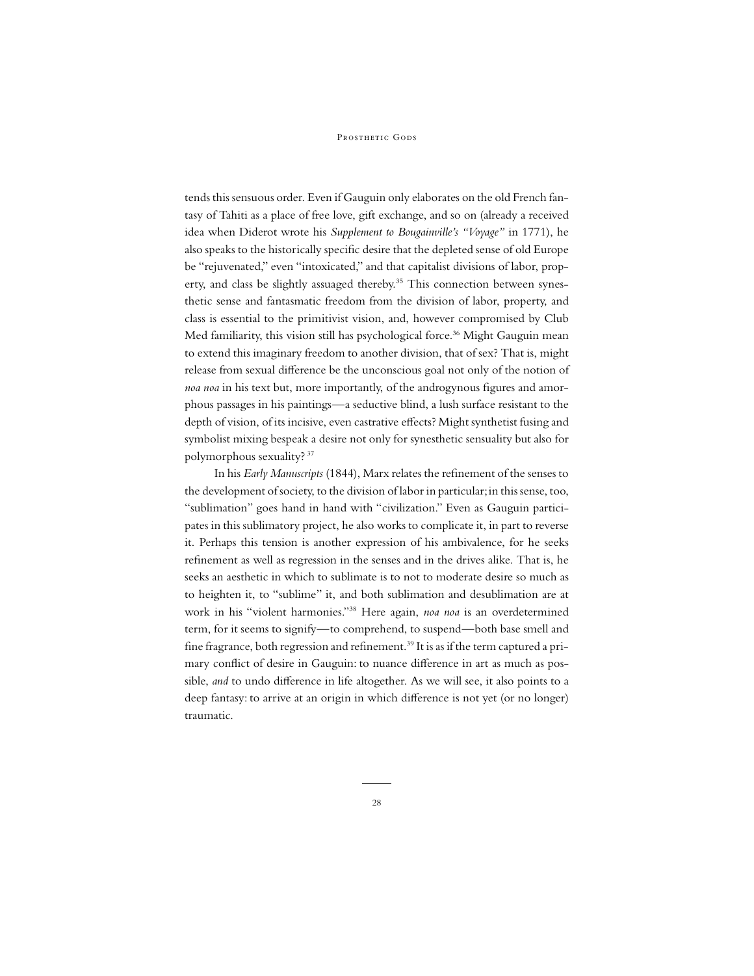tends this sensuous order. Even if Gauguin only elaborates on the old French fantasy of Tahiti as a place of free love, gift exchange, and so on (already a received idea when Diderot wrote his *Supplement to Bougainville's "Voyage"* in 1771), he also speaks to the historically specific desire that the depleted sense of old Europe be "rejuvenated," even "intoxicated," and that capitalist divisions of labor, property, and class be slightly assuaged thereby.<sup>35</sup> This connection between synesthetic sense and fantasmatic freedom from the division of labor, property, and class is essential to the primitivist vision, and, however compromised by Club Med familiarity, this vision still has psychological force.<sup>36</sup> Might Gauguin mean to extend this imaginary freedom to another division, that of sex? That is, might release from sexual difference be the unconscious goal not only of the notion of *noa noa* in his text but, more importantly, of the androgynous figures and amorphous passages in his paintings—a seductive blind, a lush surface resistant to the depth of vision, of its incisive, even castrative effects? Might synthetist fusing and symbolist mixing bespeak a desire not only for synesthetic sensuality but also for polymorphous sexuality? <sup>37</sup>

In his *Early Manuscripts* (1844), Marx relates the refinement of the senses to the development of society, to the division of labor in particular;in this sense, too, "sublimation" goes hand in hand with "civilization." Even as Gauguin participates in this sublimatory project, he also works to complicate it, in part to reverse it. Perhaps this tension is another expression of his ambivalence, for he seeks refinement as well as regression in the senses and in the drives alike. That is, he seeks an aesthetic in which to sublimate is to not to moderate desire so much as to heighten it, to "sublime" it, and both sublimation and desublimation are at work in his "violent harmonies."38 Here again, *noa noa* is an overdetermined term, for it seems to signify—to comprehend, to suspend—both base smell and fine fragrance, both regression and refinement.<sup>39</sup> It is as if the term captured a primary conflict of desire in Gauguin: to nuance difference in art as much as possible, *and* to undo difference in life altogether. As we will see, it also points to a deep fantasy: to arrive at an origin in which difference is not yet (or no longer) traumatic.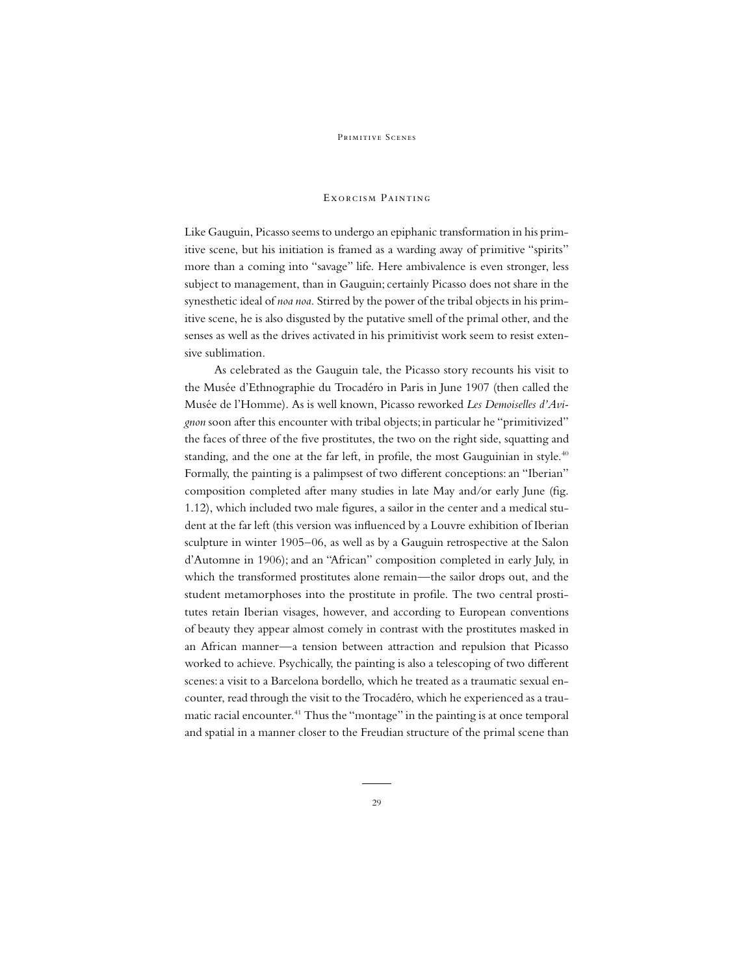#### Exorcism Painting

Like Gauguin, Picasso seems to undergo an epiphanic transformation in his primitive scene, but his initiation is framed as a warding away of primitive "spirits" more than a coming into "savage" life. Here ambivalence is even stronger, less subject to management, than in Gauguin; certainly Picasso does not share in the synesthetic ideal of *noa noa.* Stirred by the power of the tribal objects in his primitive scene, he is also disgusted by the putative smell of the primal other, and the senses as well as the drives activated in his primitivist work seem to resist extensive sublimation.

As celebrated as the Gauguin tale, the Picasso story recounts his visit to the Musée d'Ethnographie du Trocadéro in Paris in June 1907 (then called the Musée de l'Homme). As is well known, Picasso reworked *Les Demoiselles d'Avignon* soon after this encounter with tribal objects;in particular he "primitivized" the faces of three of the five prostitutes, the two on the right side, squatting and standing, and the one at the far left, in profile, the most Gauguinian in style.<sup>40</sup> Formally, the painting is a palimpsest of two different conceptions: an "Iberian" composition completed after many studies in late May and/or early June (fig. 1.12), which included two male figures, a sailor in the center and a medical student at the far left (this version was influenced by a Louvre exhibition of Iberian sculpture in winter 1905–06, as well as by a Gauguin retrospective at the Salon d'Automne in 1906); and an "African" composition completed in early July, in which the transformed prostitutes alone remain—the sailor drops out, and the student metamorphoses into the prostitute in profile. The two central prostitutes retain Iberian visages, however, and according to European conventions of beauty they appear almost comely in contrast with the prostitutes masked in an African manner—a tension between attraction and repulsion that Picasso worked to achieve. Psychically, the painting is also a telescoping of two different scenes: a visit to a Barcelona bordello, which he treated as a traumatic sexual encounter, read through the visit to the Trocadéro, which he experienced as a traumatic racial encounter.<sup>41</sup> Thus the "montage" in the painting is at once temporal and spatial in a manner closer to the Freudian structure of the primal scene than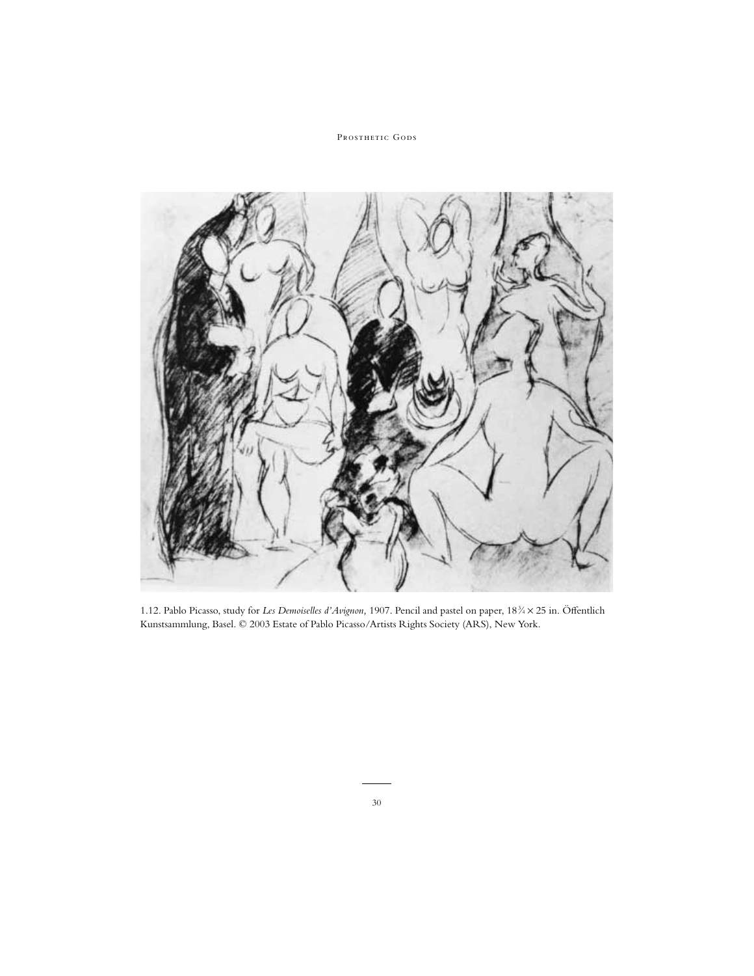# Prosthetic Gods



1.12. Pablo Picasso, study for *Les Demoiselles d'Avignon,* 1907. Pencil and pastel on paper, 183 ⁄4 × 25 in. Öffentlich Kunstsammlung, Basel. © 2003 Estate of Pablo Picasso/Artists Rights Society (ARS), New York.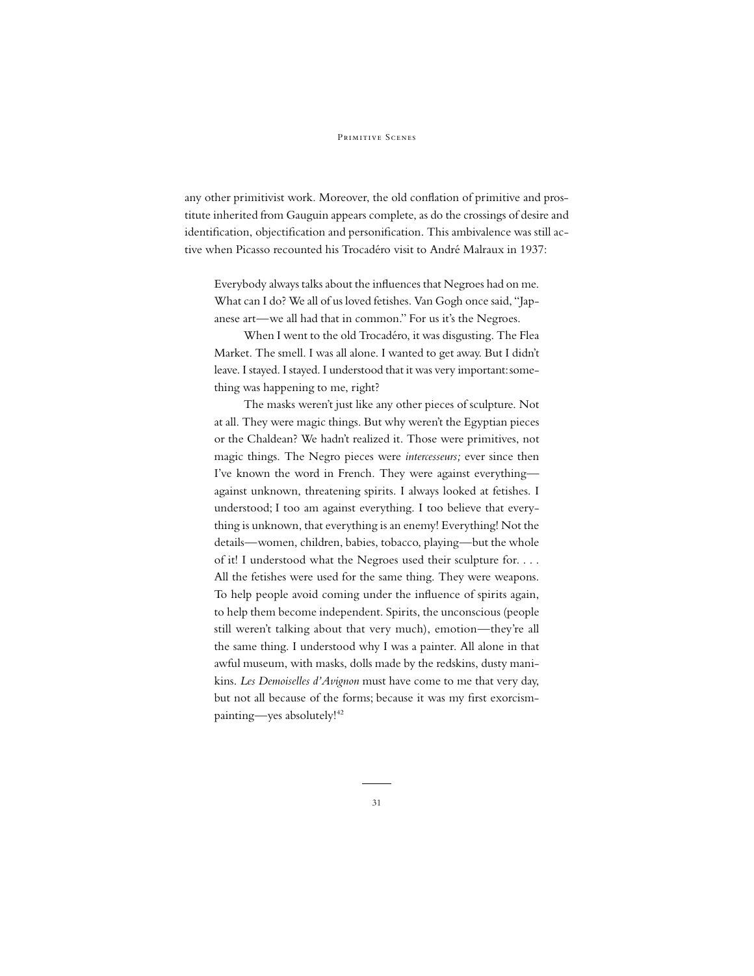any other primitivist work. Moreover, the old conflation of primitive and prostitute inherited from Gauguin appears complete, as do the crossings of desire and identification, objectification and personification. This ambivalence was still active when Picasso recounted his Trocadéro visit to André Malraux in 1937:

Everybody always talks about the influences that Negroes had on me. What can I do? We all of us loved fetishes. Van Gogh once said, "Japanese art—we all had that in common." For us it's the Negroes.

When I went to the old Trocadéro, it was disgusting. The Flea Market. The smell. I was all alone. I wanted to get away. But I didn't leave. I stayed. I stayed. I understood that it was very important: something was happening to me, right?

The masks weren't just like any other pieces of sculpture. Not at all. They were magic things. But why weren't the Egyptian pieces or the Chaldean? We hadn't realized it. Those were primitives, not magic things. The Negro pieces were *intercesseurs;* ever since then I've known the word in French. They were against everything against unknown, threatening spirits. I always looked at fetishes. I understood; I too am against everything. I too believe that everything is unknown, that everything is an enemy! Everything! Not the details—women, children, babies, tobacco, playing—but the whole of it! I understood what the Negroes used their sculpture for.... All the fetishes were used for the same thing. They were weapons. To help people avoid coming under the influence of spirits again, to help them become independent. Spirits, the unconscious (people still weren't talking about that very much), emotion—they're all the same thing. I understood why I was a painter. All alone in that awful museum, with masks, dolls made by the redskins, dusty manikins. *Les Demoiselles d'Avignon* must have come to me that very day, but not all because of the forms; because it was my first exorcismpainting—yes absolutely!42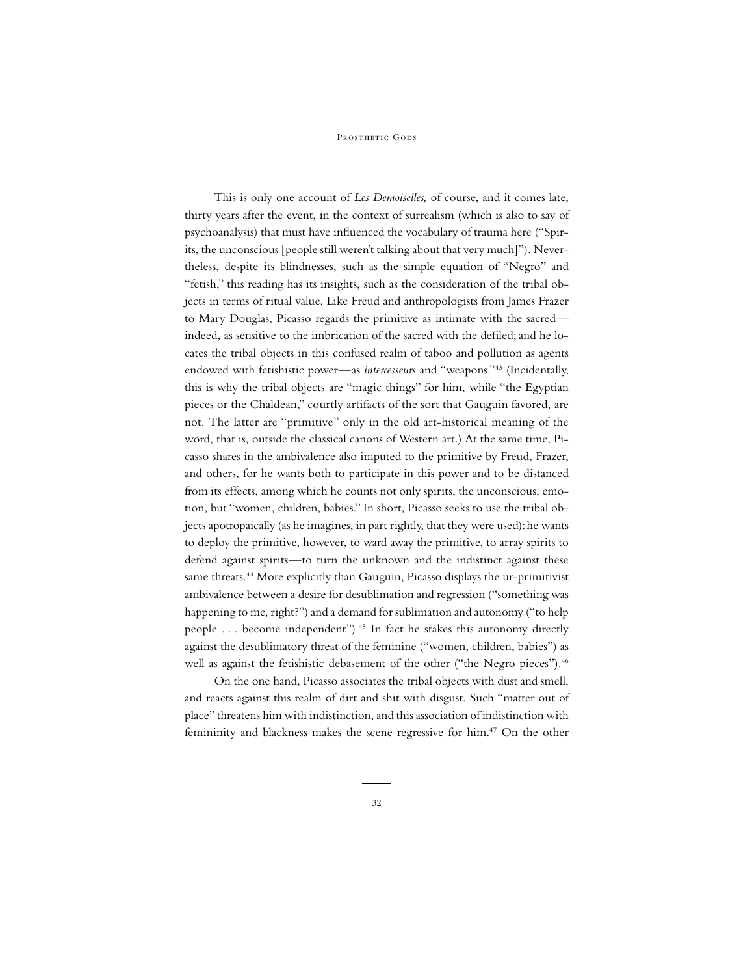This is only one account of *Les Demoiselles,* of course, and it comes late, thirty years after the event, in the context of surrealism (which is also to say of psychoanalysis) that must have influenced the vocabulary of trauma here ("Spirits, the unconscious [people still weren't talking about that very much]"). Nevertheless, despite its blindnesses, such as the simple equation of "Negro" and "fetish," this reading has its insights, such as the consideration of the tribal objects in terms of ritual value. Like Freud and anthropologists from James Frazer to Mary Douglas, Picasso regards the primitive as intimate with the sacred indeed, as sensitive to the imbrication of the sacred with the defiled; and he locates the tribal objects in this confused realm of taboo and pollution as agents endowed with fetishistic power—as *intercesseurs* and "weapons."43 (Incidentally, this is why the tribal objects are "magic things" for him, while "the Egyptian pieces or the Chaldean," courtly artifacts of the sort that Gauguin favored, are not. The latter are "primitive" only in the old art-historical meaning of the word, that is, outside the classical canons of Western art.) At the same time, Picasso shares in the ambivalence also imputed to the primitive by Freud, Frazer, and others, for he wants both to participate in this power and to be distanced from its effects, among which he counts not only spirits, the unconscious, emotion, but "women, children, babies." In short, Picasso seeks to use the tribal objects apotropaically (as he imagines, in part rightly, that they were used): he wants to deploy the primitive, however, to ward away the primitive, to array spirits to defend against spirits—to turn the unknown and the indistinct against these same threats.<sup>44</sup> More explicitly than Gauguin, Picasso displays the ur-primitivist ambivalence between a desire for desublimation and regression ("something was happening to me, right?") and a demand for sublimation and autonomy ("to help people . . . become independent").45 In fact he stakes this autonomy directly against the desublimatory threat of the feminine ("women, children, babies") as well as against the fetishistic debasement of the other ("the Negro pieces").<sup>46</sup>

On the one hand, Picasso associates the tribal objects with dust and smell, and reacts against this realm of dirt and shit with disgust. Such "matter out of place" threatens him with indistinction, and this association of indistinction with femininity and blackness makes the scene regressive for him.<sup>47</sup> On the other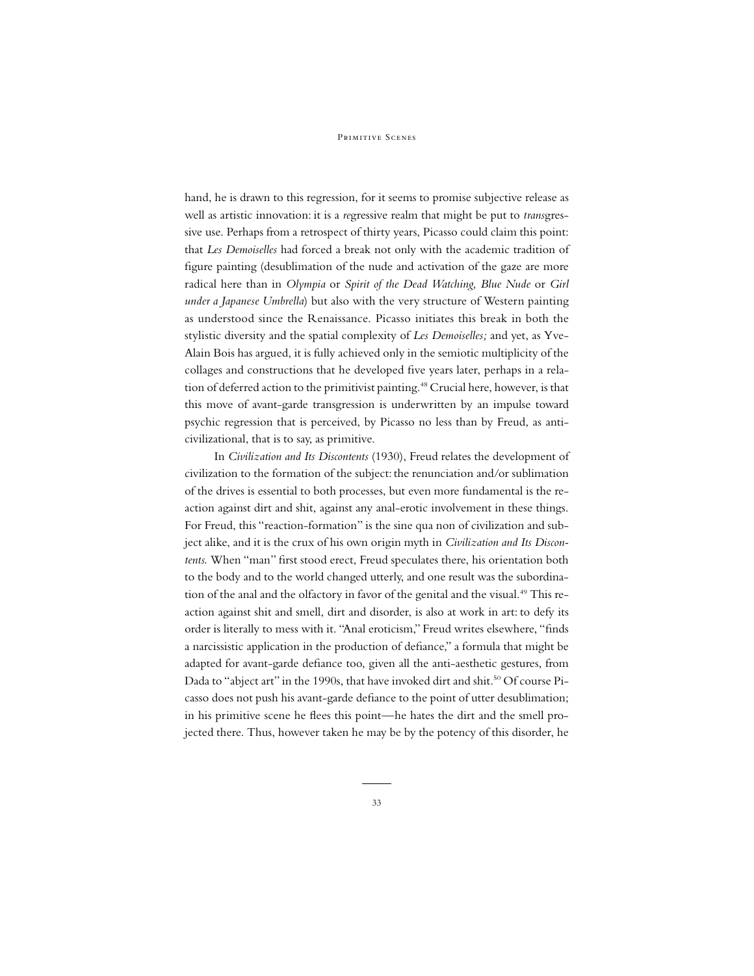hand, he is drawn to this regression, for it seems to promise subjective release as well as artistic innovation: it is a *re*gressive realm that might be put to *trans*gressive use. Perhaps from a retrospect of thirty years, Picasso could claim this point: that *Les Demoiselles* had forced a break not only with the academic tradition of figure painting (desublimation of the nude and activation of the gaze are more radical here than in *Olympia* or *Spirit of the Dead Watching, Blue Nude* or *Girl under a Japanese Umbrella*) but also with the very structure of Western painting as understood since the Renaissance. Picasso initiates this break in both the stylistic diversity and the spatial complexity of *Les Demoiselles;* and yet, as Yve-Alain Bois has argued, it is fully achieved only in the semiotic multiplicity of the collages and constructions that he developed five years later, perhaps in a relation of deferred action to the primitivist painting.<sup>48</sup> Crucial here, however, is that this move of avant-garde transgression is underwritten by an impulse toward psychic regression that is perceived, by Picasso no less than by Freud, as anticivilizational, that is to say, as primitive.

In *Civilization and Its Discontents* (1930), Freud relates the development of civilization to the formation of the subject: the renunciation and/or sublimation of the drives is essential to both processes, but even more fundamental is the reaction against dirt and shit, against any anal-erotic involvement in these things. For Freud, this "reaction-formation" is the sine qua non of civilization and subject alike, and it is the crux of his own origin myth in *Civilization and Its Discontents.* When "man" first stood erect, Freud speculates there, his orientation both to the body and to the world changed utterly, and one result was the subordination of the anal and the olfactory in favor of the genital and the visual.<sup>49</sup> This reaction against shit and smell, dirt and disorder, is also at work in art: to defy its order is literally to mess with it. "Anal eroticism," Freud writes elsewhere, "finds a narcissistic application in the production of defiance," a formula that might be adapted for avant-garde defiance too, given all the anti-aesthetic gestures, from Dada to "abject art" in the 1990s, that have invoked dirt and shit.<sup>50</sup> Of course Picasso does not push his avant-garde defiance to the point of utter desublimation; in his primitive scene he flees this point—he hates the dirt and the smell projected there. Thus, however taken he may be by the potency of this disorder, he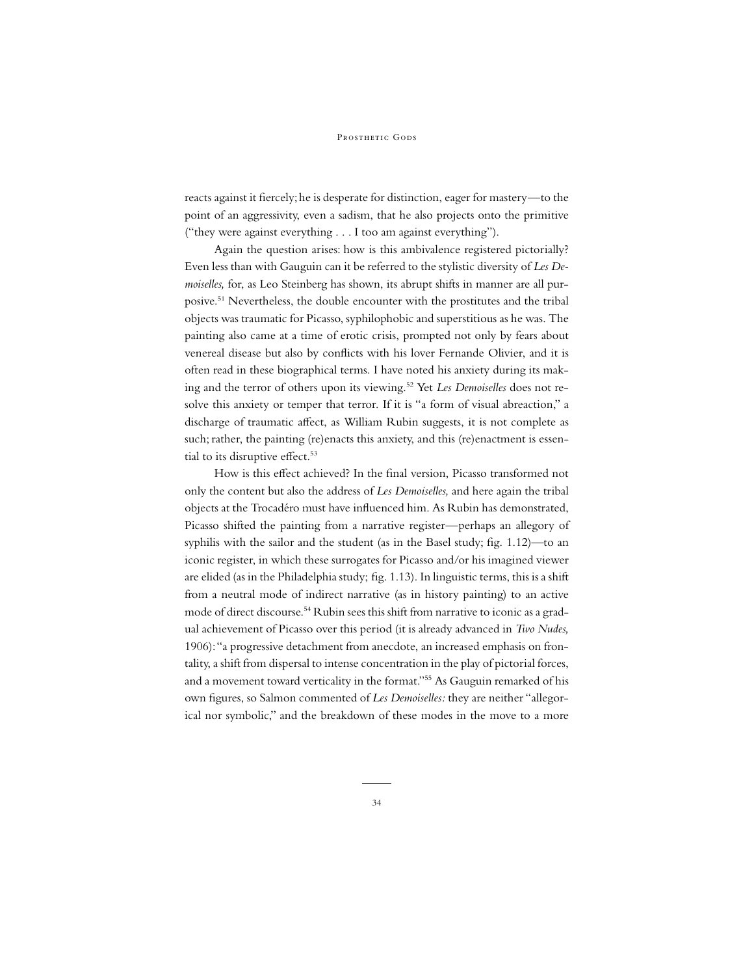reacts against it fiercely;he is desperate for distinction, eager for mastery—to the point of an aggressivity, even a sadism, that he also projects onto the primitive ("they were against everything . . . I too am against everything").

Again the question arises: how is this ambivalence registered pictorially? Even less than with Gauguin can it be referred to the stylistic diversity of *Les Demoiselles,* for, as Leo Steinberg has shown, its abrupt shifts in manner are all purposive.51 Nevertheless, the double encounter with the prostitutes and the tribal objects was traumatic for Picasso, syphilophobic and superstitious as he was. The painting also came at a time of erotic crisis, prompted not only by fears about venereal disease but also by conflicts with his lover Fernande Olivier, and it is often read in these biographical terms. I have noted his anxiety during its making and the terror of others upon its viewing.52 Yet *Les Demoiselles* does not resolve this anxiety or temper that terror. If it is "a form of visual abreaction," a discharge of traumatic affect, as William Rubin suggests, it is not complete as such; rather, the painting (re)enacts this anxiety, and this (re)enactment is essential to its disruptive effect.<sup>53</sup>

How is this effect achieved? In the final version, Picasso transformed not only the content but also the address of *Les Demoiselles,* and here again the tribal objects at the Trocadéro must have influenced him. As Rubin has demonstrated, Picasso shifted the painting from a narrative register—perhaps an allegory of syphilis with the sailor and the student (as in the Basel study; fig. 1.12)—to an iconic register, in which these surrogates for Picasso and/or his imagined viewer are elided (as in the Philadelphia study; fig. 1.13). In linguistic terms, this is a shift from a neutral mode of indirect narrative (as in history painting) to an active mode of direct discourse.<sup>54</sup> Rubin sees this shift from narrative to iconic as a gradual achievement of Picasso over this period (it is already advanced in *Two Nudes,* 1906):"a progressive detachment from anecdote, an increased emphasis on frontality, a shift from dispersal to intense concentration in the play of pictorial forces, and a movement toward verticality in the format."55 As Gauguin remarked of his own figures, so Salmon commented of *Les Demoiselles:* they are neither "allegorical nor symbolic," and the breakdown of these modes in the move to a more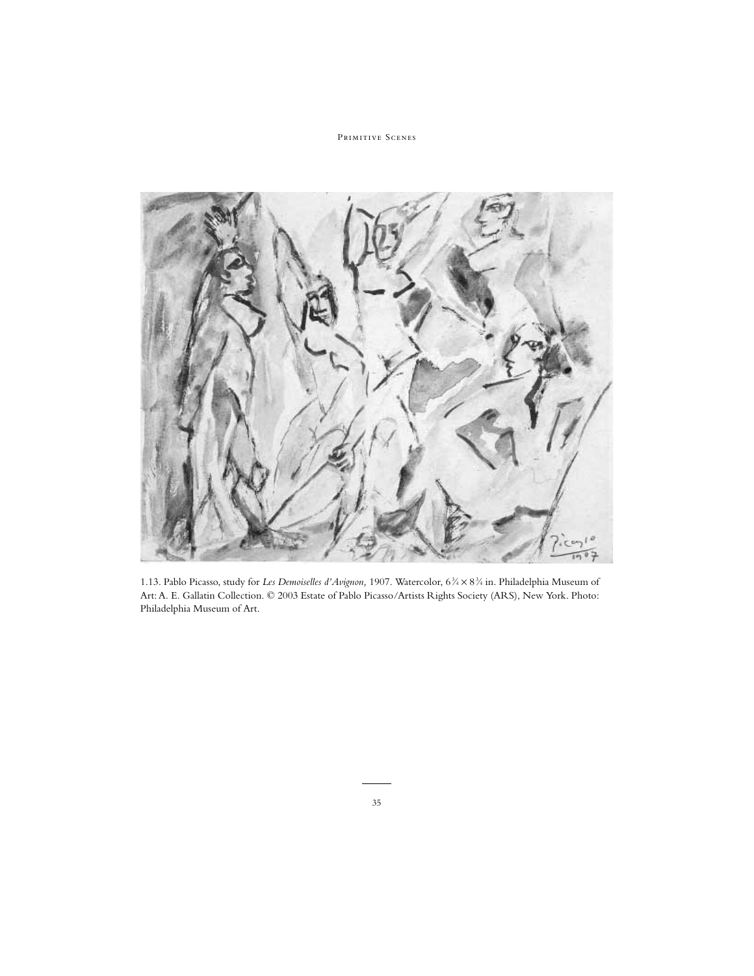

1.13. Pablo Picasso, study for *Les Demoiselles d'Avignon,* 1907. Watercolor, 63 ⁄4 × 83 ⁄4 in. Philadelphia Museum of Art: A. E. Gallatin Collection. © 2003 Estate of Pablo Picasso/Artists Rights Society (ARS), New York. Photo: Philadelphia Museum of Art.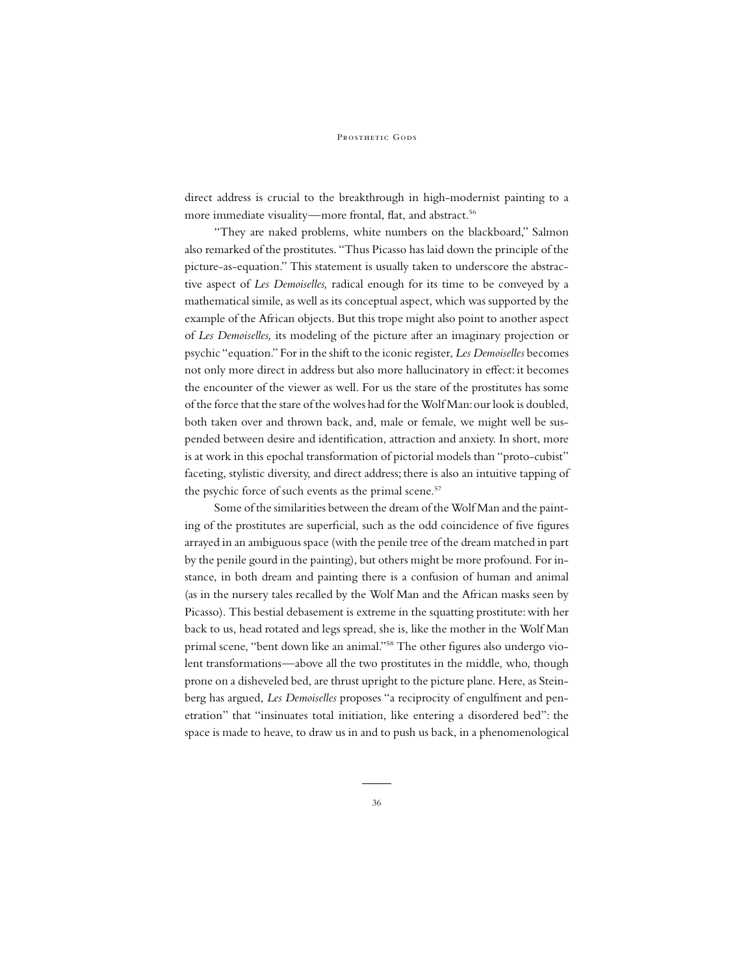direct address is crucial to the breakthrough in high-modernist painting to a more immediate visuality—more frontal, flat, and abstract.<sup>56</sup>

"They are naked problems, white numbers on the blackboard," Salmon also remarked of the prostitutes. "Thus Picasso has laid down the principle of the picture-as-equation." This statement is usually taken to underscore the abstractive aspect of *Les Demoiselles,* radical enough for its time to be conveyed by a mathematical simile, as well as its conceptual aspect, which was supported by the example of the African objects. But this trope might also point to another aspect of *Les Demoiselles,* its modeling of the picture after an imaginary projection or psychic "equation." For in the shift to the iconic register, *Les Demoiselles* becomes not only more direct in address but also more hallucinatory in effect: it becomes the encounter of the viewer as well. For us the stare of the prostitutes has some of the force that the stare of the wolves had for the Wolf Man:our look is doubled, both taken over and thrown back, and, male or female, we might well be suspended between desire and identification, attraction and anxiety. In short, more is at work in this epochal transformation of pictorial models than "proto-cubist" faceting, stylistic diversity, and direct address; there is also an intuitive tapping of the psychic force of such events as the primal scene.<sup>57</sup>

Some of the similarities between the dream of the Wolf Man and the painting of the prostitutes are superficial, such as the odd coincidence of five figures arrayed in an ambiguous space (with the penile tree of the dream matched in part by the penile gourd in the painting), but others might be more profound. For instance, in both dream and painting there is a confusion of human and animal (as in the nursery tales recalled by the Wolf Man and the African masks seen by Picasso). This bestial debasement is extreme in the squatting prostitute: with her back to us, head rotated and legs spread, she is, like the mother in the Wolf Man primal scene, "bent down like an animal."58 The other figures also undergo violent transformations—above all the two prostitutes in the middle, who, though prone on a disheveled bed, are thrust upright to the picture plane. Here, as Steinberg has argued, *Les Demoiselles* proposes "a reciprocity of engulfment and penetration" that "insinuates total initiation, like entering a disordered bed": the space is made to heave, to draw us in and to push us back, in a phenomenological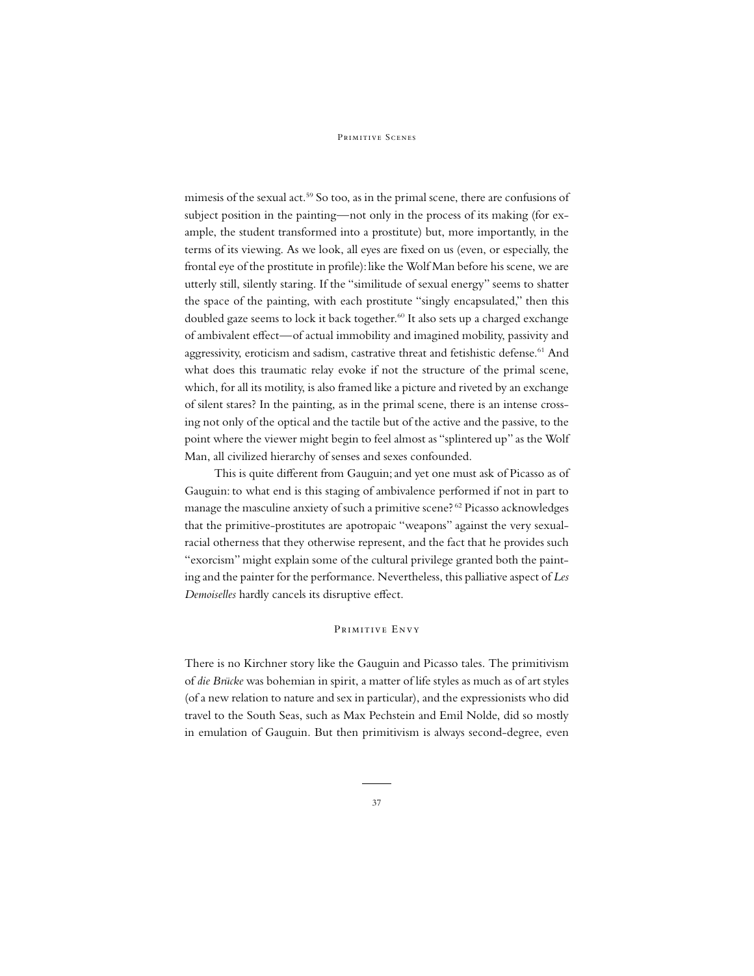mimesis of the sexual act.59 So too, as in the primal scene, there are confusions of subject position in the painting—not only in the process of its making (for example, the student transformed into a prostitute) but, more importantly, in the terms of its viewing. As we look, all eyes are fixed on us (even, or especially, the frontal eye of the prostitute in profile): like the Wolf Man before his scene, we are utterly still, silently staring. If the "similitude of sexual energy" seems to shatter the space of the painting, with each prostitute "singly encapsulated," then this doubled gaze seems to lock it back together.<sup>60</sup> It also sets up a charged exchange of ambivalent effect—of actual immobility and imagined mobility, passivity and aggressivity, eroticism and sadism, castrative threat and fetishistic defense.<sup>61</sup> And what does this traumatic relay evoke if not the structure of the primal scene, which, for all its motility, is also framed like a picture and riveted by an exchange of silent stares? In the painting, as in the primal scene, there is an intense crossing not only of the optical and the tactile but of the active and the passive, to the point where the viewer might begin to feel almost as "splintered up" as the Wolf Man, all civilized hierarchy of senses and sexes confounded.

This is quite different from Gauguin; and yet one must ask of Picasso as of Gauguin: to what end is this staging of ambivalence performed if not in part to manage the masculine anxiety of such a primitive scene? <sup>62</sup> Picasso acknowledges that the primitive-prostitutes are apotropaic "weapons" against the very sexualracial otherness that they otherwise represent, and the fact that he provides such "exorcism" might explain some of the cultural privilege granted both the painting and the painter for the performance. Nevertheless, this palliative aspect of *Les Demoiselles* hardly cancels its disruptive effect.

## Primitive Envy

There is no Kirchner story like the Gauguin and Picasso tales. The primitivism of *die Brücke* was bohemian in spirit, a matter of life styles as much as of art styles (of a new relation to nature and sex in particular), and the expressionists who did travel to the South Seas, such as Max Pechstein and Emil Nolde, did so mostly in emulation of Gauguin. But then primitivism is always second-degree, even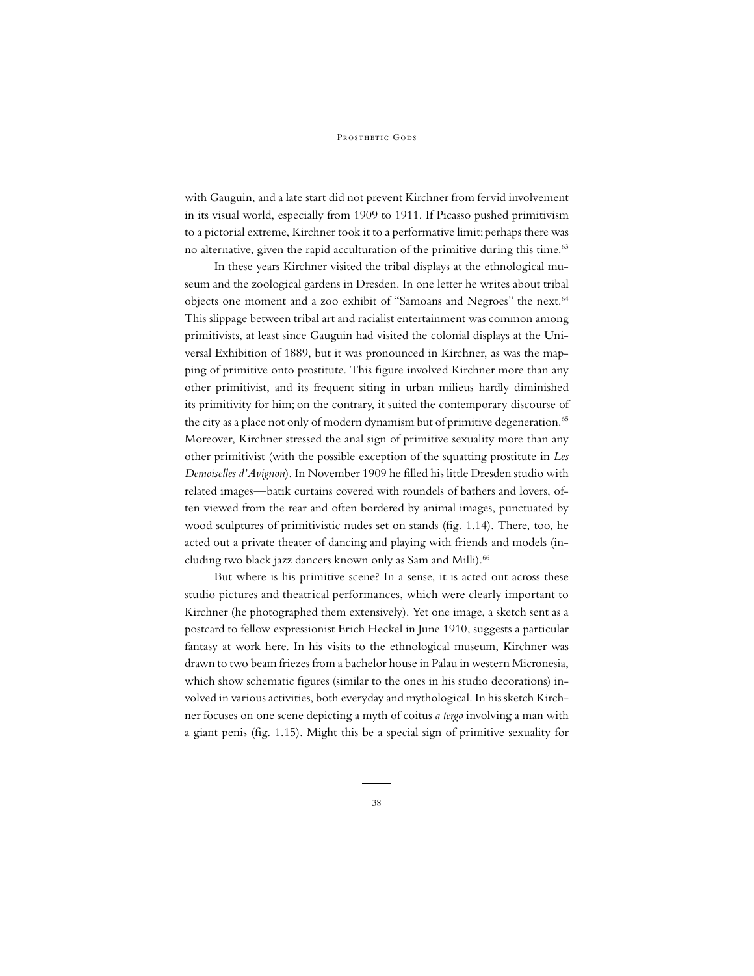with Gauguin, and a late start did not prevent Kirchner from fervid involvement in its visual world, especially from 1909 to 1911. If Picasso pushed primitivism to a pictorial extreme, Kirchner took it to a performative limit; perhaps there was no alternative, given the rapid acculturation of the primitive during this time.<sup>63</sup>

In these years Kirchner visited the tribal displays at the ethnological museum and the zoological gardens in Dresden. In one letter he writes about tribal objects one moment and a zoo exhibit of "Samoans and Negroes" the next.<sup>64</sup> This slippage between tribal art and racialist entertainment was common among primitivists, at least since Gauguin had visited the colonial displays at the Universal Exhibition of 1889, but it was pronounced in Kirchner, as was the mapping of primitive onto prostitute. This figure involved Kirchner more than any other primitivist, and its frequent siting in urban milieus hardly diminished its primitivity for him; on the contrary, it suited the contemporary discourse of the city as a place not only of modern dynamism but of primitive degeneration.<sup>65</sup> Moreover, Kirchner stressed the anal sign of primitive sexuality more than any other primitivist (with the possible exception of the squatting prostitute in *Les Demoiselles d'Avignon*). In November 1909 he filled his little Dresden studio with related images—batik curtains covered with roundels of bathers and lovers, often viewed from the rear and often bordered by animal images, punctuated by wood sculptures of primitivistic nudes set on stands (fig. 1.14). There, too, he acted out a private theater of dancing and playing with friends and models (including two black jazz dancers known only as Sam and Milli).<sup>66</sup>

But where is his primitive scene? In a sense, it is acted out across these studio pictures and theatrical performances, which were clearly important to Kirchner (he photographed them extensively). Yet one image, a sketch sent as a postcard to fellow expressionist Erich Heckel in June 1910, suggests a particular fantasy at work here. In his visits to the ethnological museum, Kirchner was drawn to two beam friezes from a bachelor house in Palau in western Micronesia, which show schematic figures (similar to the ones in his studio decorations) involved in various activities, both everyday and mythological. In his sketch Kirchner focuses on one scene depicting a myth of coitus *a tergo* involving a man with a giant penis (fig. 1.15). Might this be a special sign of primitive sexuality for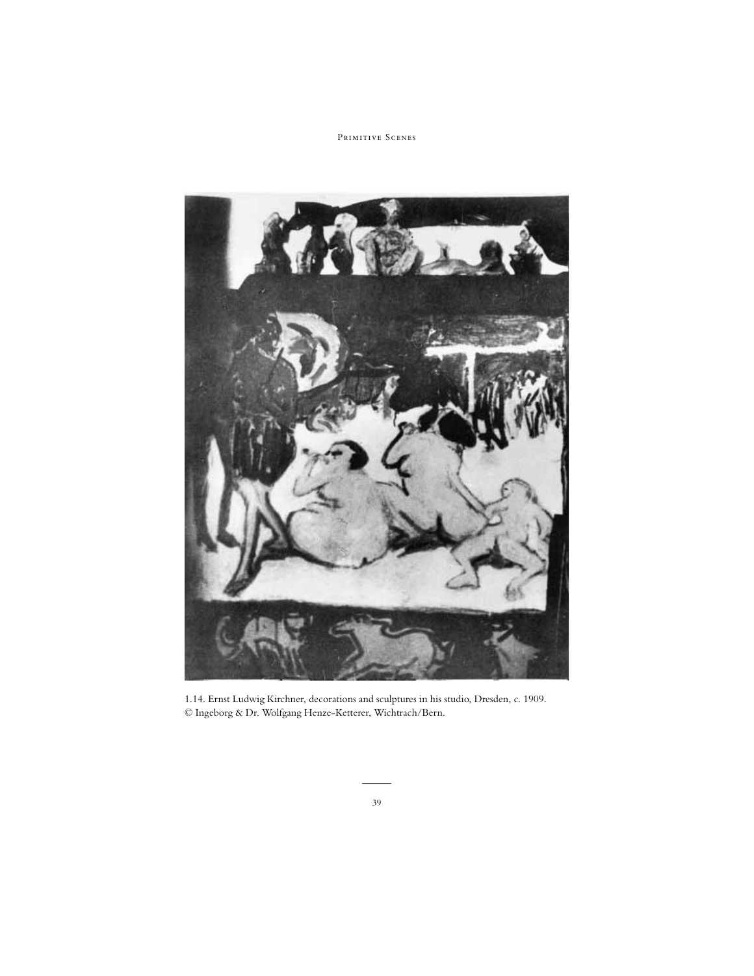

1.14. Ernst Ludwig Kirchner, decorations and sculptures in his studio, Dresden, c. 1909.  $\mathbb O$ Ingeborg & Dr. Wolfgang Henze-Ketterer, Wichtrach/Bern.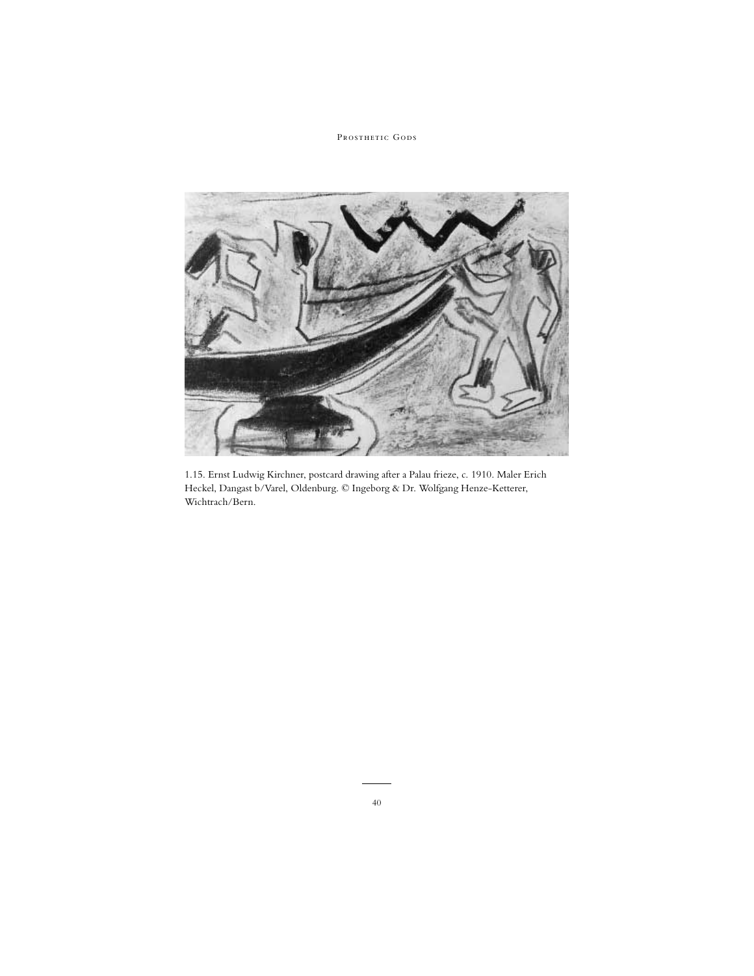# Prosthetic Gods



1.15. Ernst Ludwig Kirchner, postcard drawing after a Palau frieze, c. 1910. Maler Erich Heckel, Dangast b/Varel, Oldenburg. © Ingeborg & Dr. Wolfgang Henze-Ketterer, Wichtrach/Bern.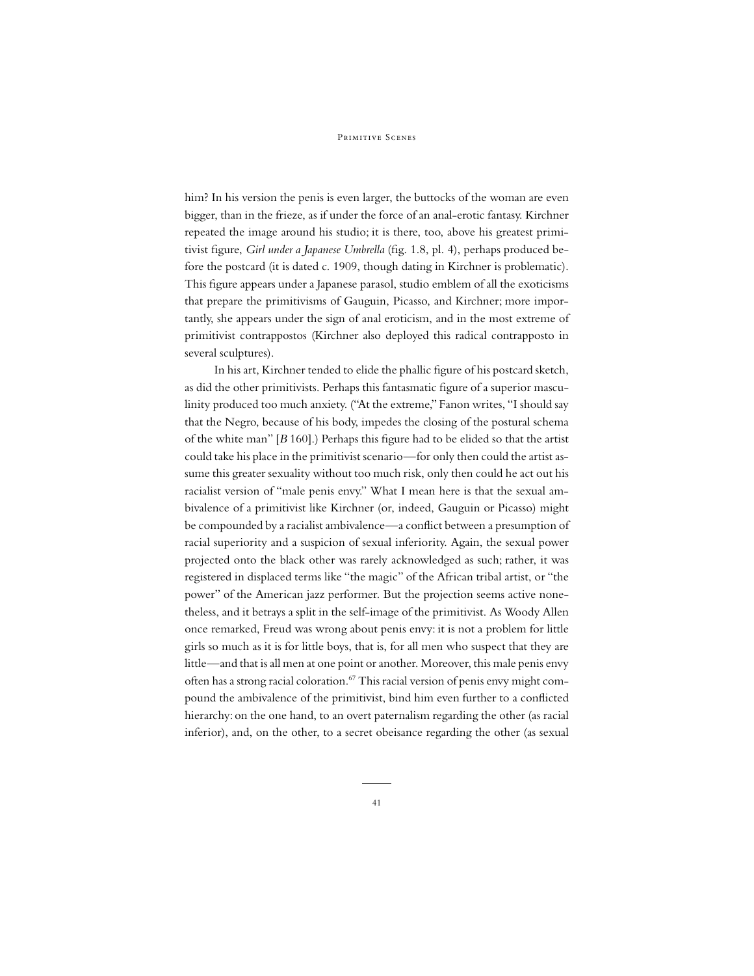him? In his version the penis is even larger, the buttocks of the woman are even bigger, than in the frieze, as if under the force of an anal-erotic fantasy. Kirchner repeated the image around his studio; it is there, too, above his greatest primitivist figure, *Girl under a Japanese Umbrella* (fig. 1.8, pl. 4), perhaps produced before the postcard (it is dated c. 1909, though dating in Kirchner is problematic). This figure appears under a Japanese parasol, studio emblem of all the exoticisms that prepare the primitivisms of Gauguin, Picasso, and Kirchner; more importantly, she appears under the sign of anal eroticism, and in the most extreme of primitivist contrappostos (Kirchner also deployed this radical contrapposto in several sculptures).

In his art, Kirchner tended to elide the phallic figure of his postcard sketch, as did the other primitivists. Perhaps this fantasmatic figure of a superior masculinity produced too much anxiety. ("At the extreme," Fanon writes, "I should say that the Negro, because of his body, impedes the closing of the postural schema of the white man" [*B* 160].) Perhaps this figure had to be elided so that the artist could take his place in the primitivist scenario—for only then could the artist assume this greater sexuality without too much risk, only then could he act out his racialist version of "male penis envy." What I mean here is that the sexual ambivalence of a primitivist like Kirchner (or, indeed, Gauguin or Picasso) might be compounded by a racialist ambivalence—a conflict between a presumption of racial superiority and a suspicion of sexual inferiority. Again, the sexual power projected onto the black other was rarely acknowledged as such; rather, it was registered in displaced terms like "the magic" of the African tribal artist, or "the power" of the American jazz performer. But the projection seems active nonetheless, and it betrays a split in the self-image of the primitivist. As Woody Allen once remarked, Freud was wrong about penis envy: it is not a problem for little girls so much as it is for little boys, that is, for all men who suspect that they are little—and that is all men at one point or another. Moreover, this male penis envy often has a strong racial coloration.67 This racial version of penis envy might compound the ambivalence of the primitivist, bind him even further to a conflicted hierarchy: on the one hand, to an overt paternalism regarding the other (as racial inferior), and, on the other, to a secret obeisance regarding the other (as sexual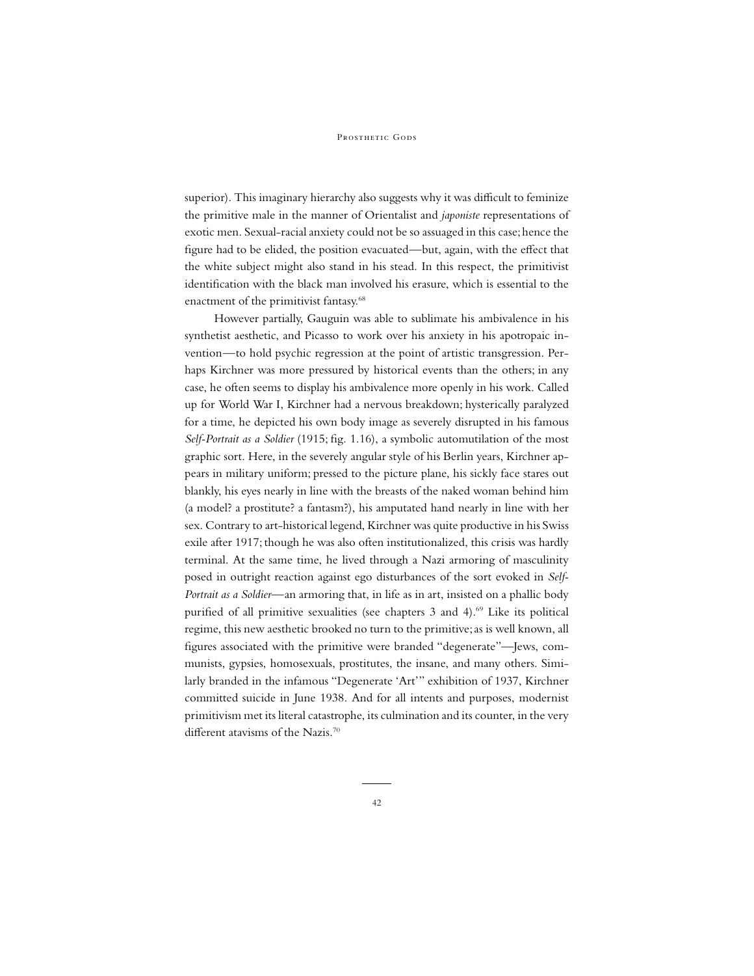superior). This imaginary hierarchy also suggests why it was difficult to feminize the primitive male in the manner of Orientalist and *japoniste* representations of exotic men. Sexual-racial anxiety could not be so assuaged in this case;hence the figure had to be elided, the position evacuated—but, again, with the effect that the white subject might also stand in his stead. In this respect, the primitivist identification with the black man involved his erasure, which is essential to the enactment of the primitivist fantasy.<sup>68</sup>

However partially, Gauguin was able to sublimate his ambivalence in his synthetist aesthetic, and Picasso to work over his anxiety in his apotropaic invention—to hold psychic regression at the point of artistic transgression. Perhaps Kirchner was more pressured by historical events than the others; in any case, he often seems to display his ambivalence more openly in his work. Called up for World War I, Kirchner had a nervous breakdown; hysterically paralyzed for a time, he depicted his own body image as severely disrupted in his famous *Self-Portrait as a Soldier* (1915; fig. 1.16), a symbolic automutilation of the most graphic sort. Here, in the severely angular style of his Berlin years, Kirchner appears in military uniform; pressed to the picture plane, his sickly face stares out blankly, his eyes nearly in line with the breasts of the naked woman behind him (a model? a prostitute? a fantasm?), his amputated hand nearly in line with her sex. Contrary to art-historical legend, Kirchner was quite productive in his Swiss exile after 1917; though he was also often institutionalized, this crisis was hardly terminal. At the same time, he lived through a Nazi armoring of masculinity posed in outright reaction against ego disturbances of the sort evoked in *Self-Portrait as a Soldier*—an armoring that, in life as in art, insisted on a phallic body purified of all primitive sexualities (see chapters 3 and 4).<sup>69</sup> Like its political regime, this new aesthetic brooked no turn to the primitive; as is well known, all figures associated with the primitive were branded "degenerate"—Jews, communists, gypsies, homosexuals, prostitutes, the insane, and many others. Similarly branded in the infamous "Degenerate 'Art'" exhibition of 1937, Kirchner committed suicide in June 1938. And for all intents and purposes, modernist primitivism met its literal catastrophe, its culmination and its counter, in the very different atavisms of the Nazis.<sup>70</sup>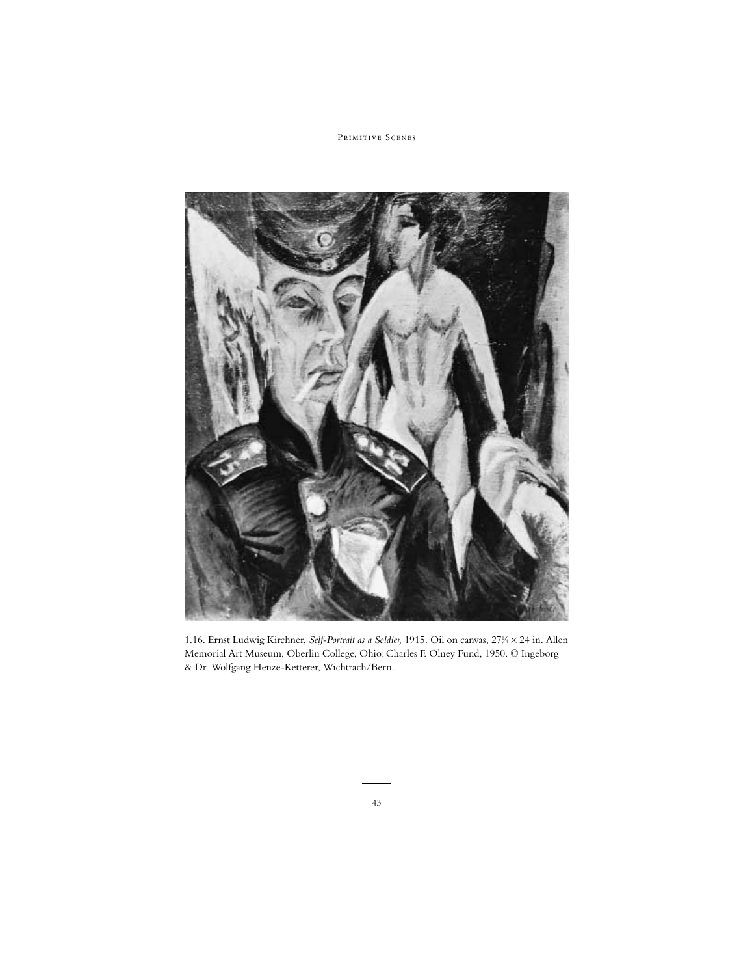

1.16. Ernst Ludwig Kirchner, *Self-Portrait as a Soldier,* 1915. Oil on canvas, 271 ⁄4 × 24 in. Allen Memorial Art Museum, Oberlin College, Ohio: Charles F. Olney Fund, 1950. © Ingeborg & Dr. Wolfgang Henze-Ketterer, Wichtrach/Bern.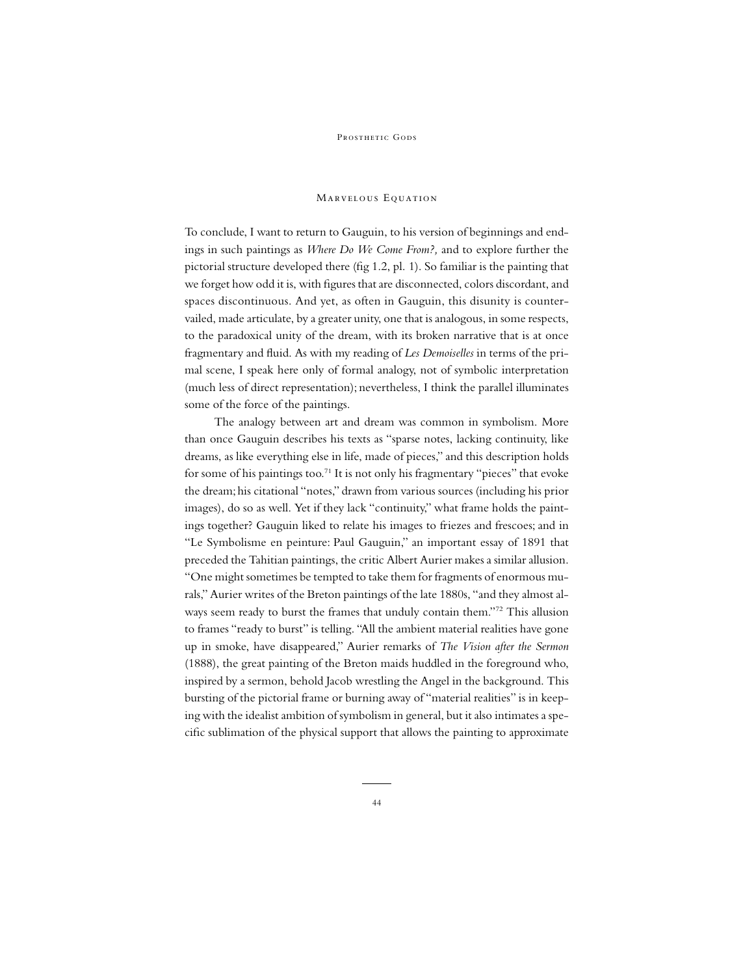#### Marvelous Equation

To conclude, I want to return to Gauguin, to his version of beginnings and endings in such paintings as *Where Do We Come From?,* and to explore further the pictorial structure developed there (fig 1.2, pl. 1). So familiar is the painting that we forget how odd it is, with figures that are disconnected, colors discordant, and spaces discontinuous. And yet, as often in Gauguin, this disunity is countervailed, made articulate, by a greater unity, one that is analogous, in some respects, to the paradoxical unity of the dream, with its broken narrative that is at once fragmentary and fluid. As with my reading of *Les Demoiselles* in terms of the primal scene, I speak here only of formal analogy, not of symbolic interpretation (much less of direct representation); nevertheless, I think the parallel illuminates some of the force of the paintings.

The analogy between art and dream was common in symbolism. More than once Gauguin describes his texts as "sparse notes, lacking continuity, like dreams, as like everything else in life, made of pieces," and this description holds for some of his paintings too.<sup>71</sup> It is not only his fragmentary "pieces" that evoke the dream;his citational "notes," drawn from various sources (including his prior images), do so as well. Yet if they lack "continuity," what frame holds the paintings together? Gauguin liked to relate his images to friezes and frescoes; and in "Le Symbolisme en peinture: Paul Gauguin," an important essay of 1891 that preceded the Tahitian paintings, the critic Albert Aurier makes a similar allusion. "One might sometimes be tempted to take them for fragments of enormous murals," Aurier writes of the Breton paintings of the late 1880s, "and they almost always seem ready to burst the frames that unduly contain them."72 This allusion to frames "ready to burst" is telling. "All the ambient material realities have gone up in smoke, have disappeared," Aurier remarks of *The Vision after the Sermon* (1888), the great painting of the Breton maids huddled in the foreground who, inspired by a sermon, behold Jacob wrestling the Angel in the background. This bursting of the pictorial frame or burning away of "material realities" is in keeping with the idealist ambition of symbolism in general, but it also intimates a specific sublimation of the physical support that allows the painting to approximate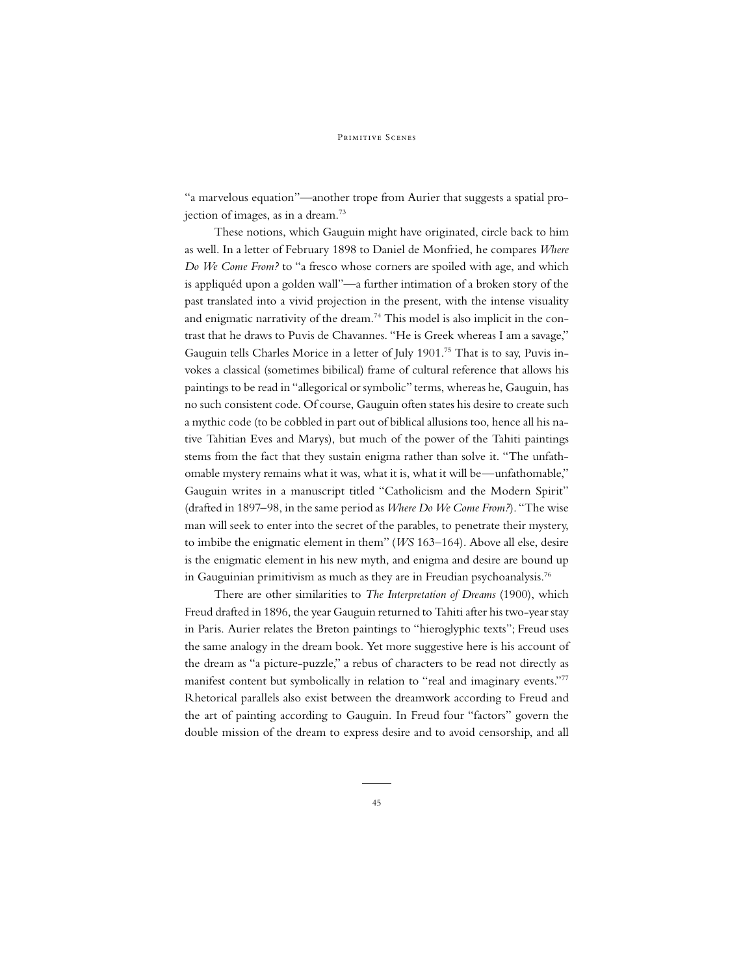"a marvelous equation"—another trope from Aurier that suggests a spatial projection of images, as in a dream.73

These notions, which Gauguin might have originated, circle back to him as well. In a letter of February 1898 to Daniel de Monfried, he compares *Where Do We Come From?* to "a fresco whose corners are spoiled with age, and which is appliquéd upon a golden wall"—a further intimation of a broken story of the past translated into a vivid projection in the present, with the intense visuality and enigmatic narrativity of the dream.74 This model is also implicit in the contrast that he draws to Puvis de Chavannes. "He is Greek whereas I am a savage," Gauguin tells Charles Morice in a letter of July 1901.75 That is to say, Puvis invokes a classical (sometimes bibilical) frame of cultural reference that allows his paintings to be read in "allegorical or symbolic" terms, whereas he, Gauguin, has no such consistent code. Of course, Gauguin often states his desire to create such a mythic code (to be cobbled in part out of biblical allusions too, hence all his native Tahitian Eves and Marys), but much of the power of the Tahiti paintings stems from the fact that they sustain enigma rather than solve it. "The unfathomable mystery remains what it was, what it is, what it will be—unfathomable," Gauguin writes in a manuscript titled "Catholicism and the Modern Spirit" (drafted in 1897–98, in the same period as *Where Do We Come From?*). "The wise man will seek to enter into the secret of the parables, to penetrate their mystery, to imbibe the enigmatic element in them" (*WS* 163–164). Above all else, desire is the enigmatic element in his new myth, and enigma and desire are bound up in Gauguinian primitivism as much as they are in Freudian psychoanalysis.76

There are other similarities to *The Interpretation of Dreams* (1900), which Freud drafted in 1896, the year Gauguin returned to Tahiti after his two-year stay in Paris. Aurier relates the Breton paintings to "hieroglyphic texts"; Freud uses the same analogy in the dream book. Yet more suggestive here is his account of the dream as "a picture-puzzle," a rebus of characters to be read not directly as manifest content but symbolically in relation to "real and imaginary events."77 Rhetorical parallels also exist between the dreamwork according to Freud and the art of painting according to Gauguin. In Freud four "factors" govern the double mission of the dream to express desire and to avoid censorship, and all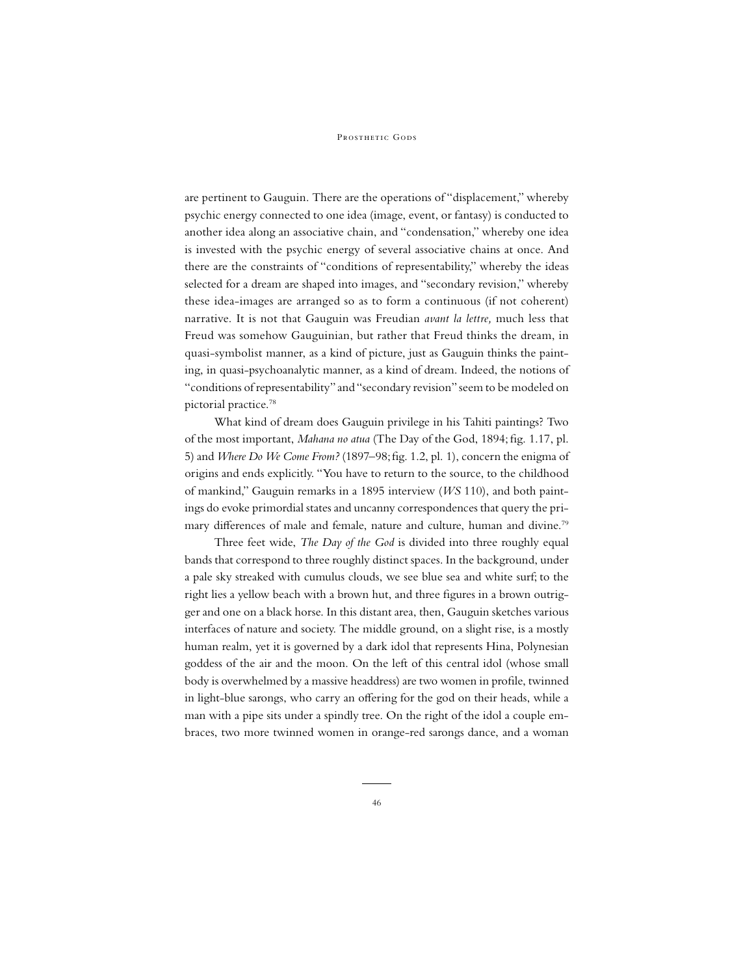are pertinent to Gauguin. There are the operations of "displacement," whereby psychic energy connected to one idea (image, event, or fantasy) is conducted to another idea along an associative chain, and "condensation," whereby one idea is invested with the psychic energy of several associative chains at once. And there are the constraints of "conditions of representability," whereby the ideas selected for a dream are shaped into images, and "secondary revision," whereby these idea-images are arranged so as to form a continuous (if not coherent) narrative. It is not that Gauguin was Freudian *avant la lettre,* much less that Freud was somehow Gauguinian, but rather that Freud thinks the dream, in quasi-symbolist manner, as a kind of picture, just as Gauguin thinks the painting, in quasi-psychoanalytic manner, as a kind of dream. Indeed, the notions of "conditions of representability"and "secondary revision"seem to be modeled on pictorial practice.78

What kind of dream does Gauguin privilege in his Tahiti paintings? Two of the most important, *Mahana no atua* (The Day of the God, 1894; fig. 1.17, pl. 5) and *Where Do We Come From?* (1897–98;fig. 1.2, pl. 1), concern the enigma of origins and ends explicitly. "You have to return to the source, to the childhood of mankind," Gauguin remarks in a 1895 interview (*WS* 110), and both paintings do evoke primordial states and uncanny correspondences that query the primary differences of male and female, nature and culture, human and divine.<sup>79</sup>

Three feet wide, *The Day of the God* is divided into three roughly equal bands that correspond to three roughly distinct spaces. In the background, under a pale sky streaked with cumulus clouds, we see blue sea and white surf; to the right lies a yellow beach with a brown hut, and three figures in a brown outrigger and one on a black horse. In this distant area, then, Gauguin sketches various interfaces of nature and society. The middle ground, on a slight rise, is a mostly human realm, yet it is governed by a dark idol that represents Hina, Polynesian goddess of the air and the moon. On the left of this central idol (whose small body is overwhelmed by a massive headdress) are two women in profile, twinned in light-blue sarongs, who carry an offering for the god on their heads, while a man with a pipe sits under a spindly tree. On the right of the idol a couple embraces, two more twinned women in orange-red sarongs dance, and a woman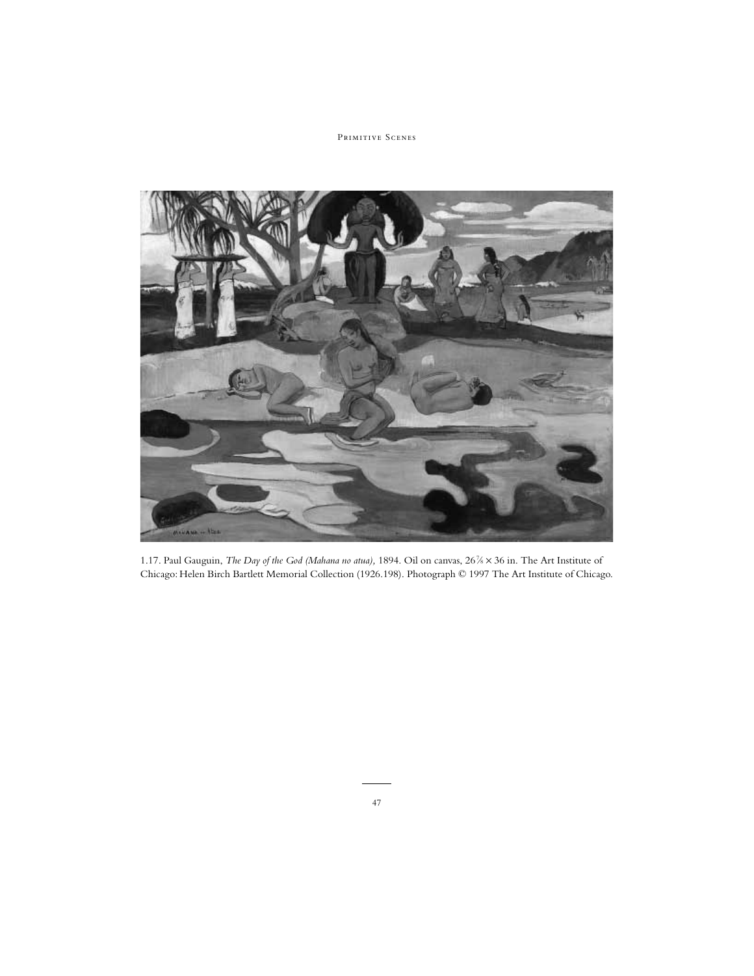

1.17. Paul Gauguin, *The Day of the God (Mahana no atua),* 1894. Oil on canvas, 267 ⁄8 × 36 in. The Art Institute of Chicago: Helen Birch Bartlett Memorial Collection (1926.198). Photograph © 1997 The Art Institute of Chicago.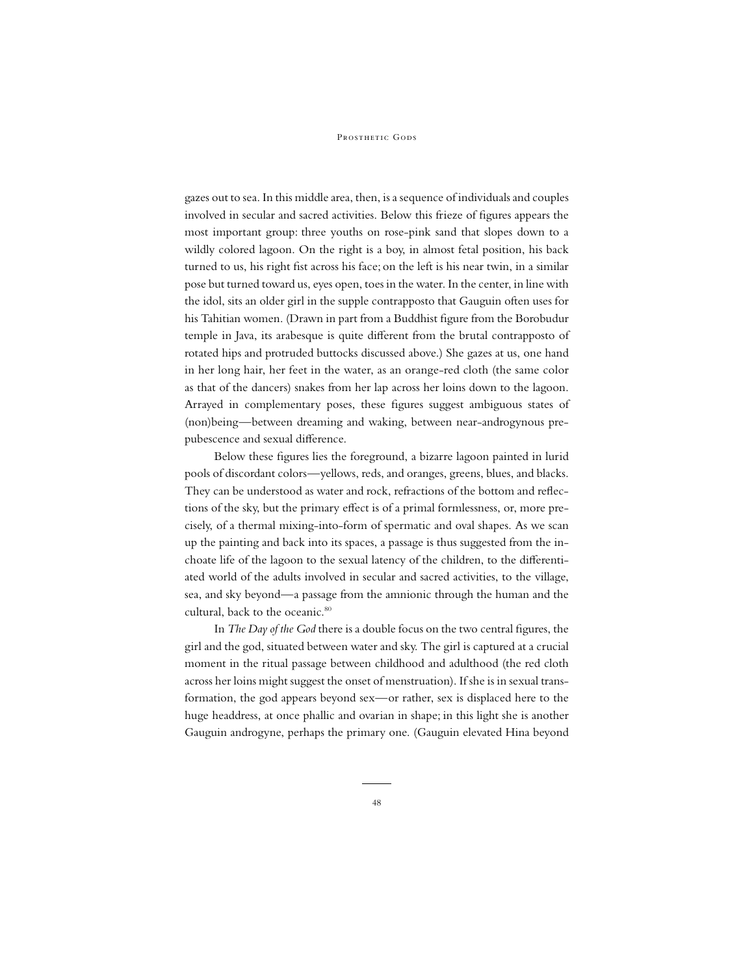gazes out to sea. In this middle area, then, is a sequence of individuals and couples involved in secular and sacred activities. Below this frieze of figures appears the most important group: three youths on rose-pink sand that slopes down to a wildly colored lagoon. On the right is a boy, in almost fetal position, his back turned to us, his right fist across his face; on the left is his near twin, in a similar pose but turned toward us, eyes open, toes in the water. In the center, in line with the idol, sits an older girl in the supple contrapposto that Gauguin often uses for his Tahitian women. (Drawn in part from a Buddhist figure from the Borobudur temple in Java, its arabesque is quite different from the brutal contrapposto of rotated hips and protruded buttocks discussed above.) She gazes at us, one hand in her long hair, her feet in the water, as an orange-red cloth (the same color as that of the dancers) snakes from her lap across her loins down to the lagoon. Arrayed in complementary poses, these figures suggest ambiguous states of (non)being—between dreaming and waking, between near-androgynous prepubescence and sexual difference.

Below these figures lies the foreground, a bizarre lagoon painted in lurid pools of discordant colors—yellows, reds, and oranges, greens, blues, and blacks. They can be understood as water and rock, refractions of the bottom and reflections of the sky, but the primary effect is of a primal formlessness, or, more precisely, of a thermal mixing-into-form of spermatic and oval shapes. As we scan up the painting and back into its spaces, a passage is thus suggested from the inchoate life of the lagoon to the sexual latency of the children, to the differentiated world of the adults involved in secular and sacred activities, to the village, sea, and sky beyond—a passage from the amnionic through the human and the cultural, back to the oceanic.<sup>80</sup>

In *The Day of the God* there is a double focus on the two central figures, the girl and the god, situated between water and sky. The girl is captured at a crucial moment in the ritual passage between childhood and adulthood (the red cloth across her loins might suggest the onset of menstruation). If she is in sexual transformation, the god appears beyond sex—or rather, sex is displaced here to the huge headdress, at once phallic and ovarian in shape; in this light she is another Gauguin androgyne, perhaps the primary one. (Gauguin elevated Hina beyond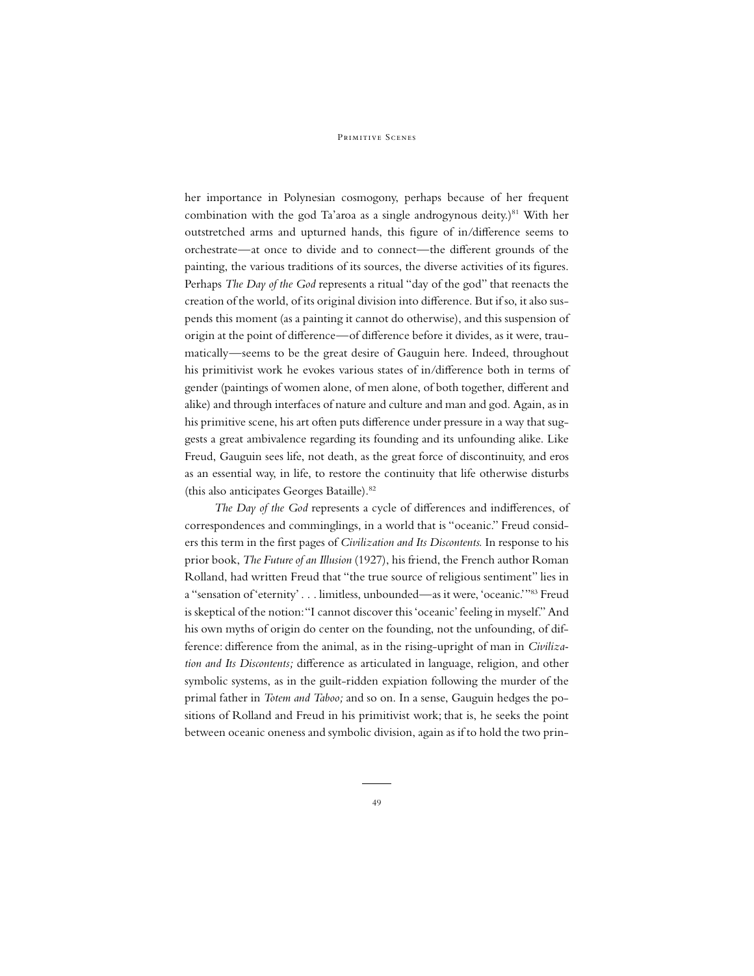her importance in Polynesian cosmogony, perhaps because of her frequent combination with the god Ta'aroa as a single androgynous deity.) $81$  With her outstretched arms and upturned hands, this figure of in/difference seems to orchestrate—at once to divide and to connect—the different grounds of the painting, the various traditions of its sources, the diverse activities of its figures. Perhaps *The Day of the God* represents a ritual "day of the god" that reenacts the creation of the world, of its original division into difference. But if so, it also suspends this moment (as a painting it cannot do otherwise), and this suspension of origin at the point of difference—of difference before it divides, as it were, traumatically—seems to be the great desire of Gauguin here. Indeed, throughout his primitivist work he evokes various states of in/difference both in terms of gender (paintings of women alone, of men alone, of both together, different and alike) and through interfaces of nature and culture and man and god. Again, as in his primitive scene, his art often puts difference under pressure in a way that suggests a great ambivalence regarding its founding and its unfounding alike. Like Freud, Gauguin sees life, not death, as the great force of discontinuity, and eros as an essential way, in life, to restore the continuity that life otherwise disturbs (this also anticipates Georges Bataille).82

*The Day of the God* represents a cycle of differences and indifferences, of correspondences and comminglings, in a world that is "oceanic." Freud considers this term in the first pages of *Civilization and Its Discontents.* In response to his prior book, *The Future of an Illusion* (1927), his friend, the French author Roman Rolland, had written Freud that "the true source of religious sentiment" lies in a "sensation of 'eternity' . . . limitless, unbounded—as it were, 'oceanic.'"83 Freud is skeptical of the notion:"I cannot discover this 'oceanic' feeling in myself." And his own myths of origin do center on the founding, not the unfounding, of difference: difference from the animal, as in the rising-upright of man in *Civilization and Its Discontents;* difference as articulated in language, religion, and other symbolic systems, as in the guilt-ridden expiation following the murder of the primal father in *Totem and Taboo;* and so on. In a sense, Gauguin hedges the positions of Rolland and Freud in his primitivist work; that is, he seeks the point between oceanic oneness and symbolic division, again as if to hold the two prin-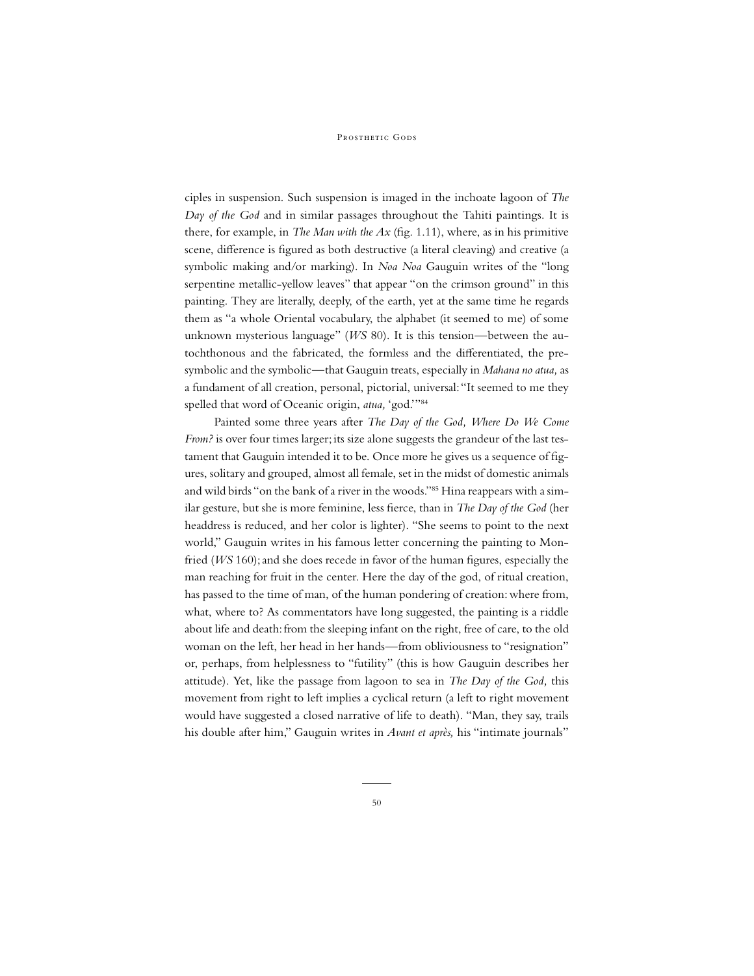ciples in suspension. Such suspension is imaged in the inchoate lagoon of *The Day of the God* and in similar passages throughout the Tahiti paintings. It is there, for example, in *The Man with the Ax* (fig. 1.11), where, as in his primitive scene, difference is figured as both destructive (a literal cleaving) and creative (a symbolic making and/or marking). In *Noa Noa* Gauguin writes of the "long serpentine metallic-yellow leaves" that appear "on the crimson ground" in this painting. They are literally, deeply, of the earth, yet at the same time he regards them as "a whole Oriental vocabulary, the alphabet (it seemed to me) of some unknown mysterious language" (*WS* 80). It is this tension—between the autochthonous and the fabricated, the formless and the differentiated, the presymbolic and the symbolic—that Gauguin treats, especially in *Mahana no atua,* as a fundament of all creation, personal, pictorial, universal:"It seemed to me they spelled that word of Oceanic origin, *atua,* 'god.'"84

Painted some three years after *The Day of the God, Where Do We Come From?* is over four times larger; its size alone suggests the grandeur of the last testament that Gauguin intended it to be. Once more he gives us a sequence of figures, solitary and grouped, almost all female, set in the midst of domestic animals and wild birds "on the bank of a river in the woods."85 Hina reappears with a similar gesture, but she is more feminine, less fierce, than in *The Day of the God* (her headdress is reduced, and her color is lighter). "She seems to point to the next world," Gauguin writes in his famous letter concerning the painting to Monfried (*WS* 160);and she does recede in favor of the human figures, especially the man reaching for fruit in the center. Here the day of the god, of ritual creation, has passed to the time of man, of the human pondering of creation: where from, what, where to? As commentators have long suggested, the painting is a riddle about life and death: from the sleeping infant on the right, free of care, to the old woman on the left, her head in her hands—from obliviousness to "resignation" or, perhaps, from helplessness to "futility" (this is how Gauguin describes her attitude). Yet, like the passage from lagoon to sea in *The Day of the God,* this movement from right to left implies a cyclical return (a left to right movement would have suggested a closed narrative of life to death). "Man, they say, trails his double after him," Gauguin writes in *Avant et après,* his "intimate journals"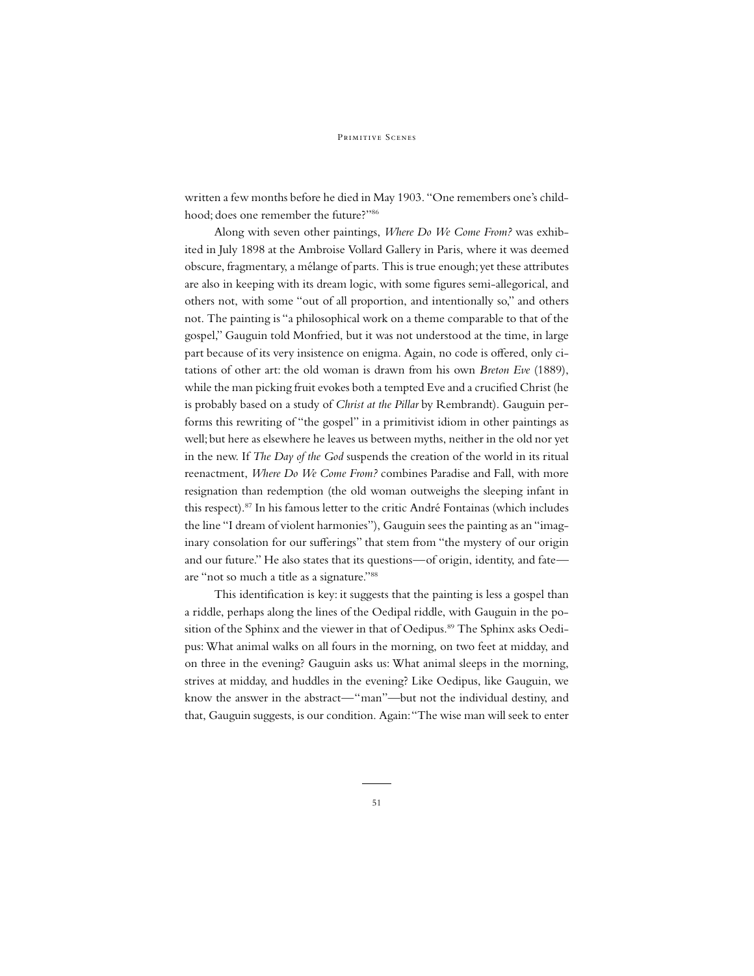written a few months before he died in May 1903. "One remembers one's childhood; does one remember the future?"86

Along with seven other paintings, *Where Do We Come From?* was exhibited in July 1898 at the Ambroise Vollard Gallery in Paris, where it was deemed obscure, fragmentary, a mélange of parts. This is true enough;yet these attributes are also in keeping with its dream logic, with some figures semi-allegorical, and others not, with some "out of all proportion, and intentionally so," and others not. The painting is "a philosophical work on a theme comparable to that of the gospel," Gauguin told Monfried, but it was not understood at the time, in large part because of its very insistence on enigma. Again, no code is offered, only citations of other art: the old woman is drawn from his own *Breton Eve* (1889), while the man picking fruit evokes both a tempted Eve and a crucified Christ (he is probably based on a study of *Christ at the Pillar* by Rembrandt). Gauguin performs this rewriting of "the gospel" in a primitivist idiom in other paintings as well;but here as elsewhere he leaves us between myths, neither in the old nor yet in the new. If *The Day of the God* suspends the creation of the world in its ritual reenactment, *Where Do We Come From?* combines Paradise and Fall, with more resignation than redemption (the old woman outweighs the sleeping infant in this respect).87 In his famous letter to the critic André Fontainas (which includes the line "I dream of violent harmonies"), Gauguin sees the painting as an "imaginary consolation for our sufferings" that stem from "the mystery of our origin and our future." He also states that its questions—of origin, identity, and fate are "not so much a title as a signature."88

This identification is key: it suggests that the painting is less a gospel than a riddle, perhaps along the lines of the Oedipal riddle, with Gauguin in the position of the Sphinx and the viewer in that of Oedipus.<sup>89</sup> The Sphinx asks Oedipus: What animal walks on all fours in the morning, on two feet at midday, and on three in the evening? Gauguin asks us: What animal sleeps in the morning, strives at midday, and huddles in the evening? Like Oedipus, like Gauguin, we know the answer in the abstract—"man"—but not the individual destiny, and that, Gauguin suggests, is our condition. Again:"The wise man will seek to enter